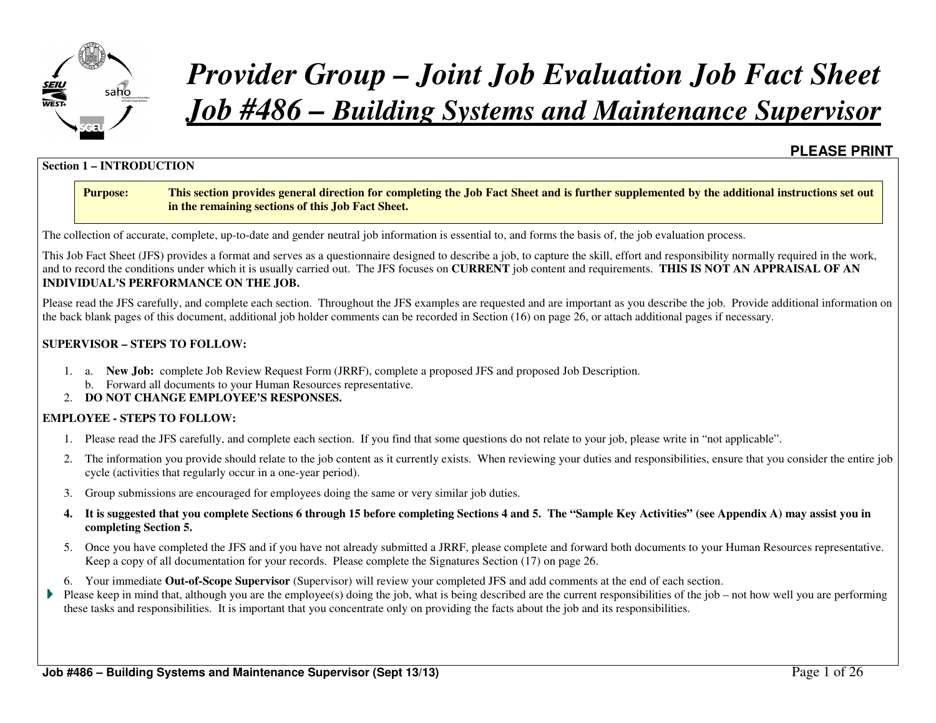

# *Provider Group – Joint Job Evaluation Job Fact SheetJob #486 – Building Systems and Maintenance Supervisor*

### **PLEASE PRINT**

#### **Section 1 – INTRODUCTION**

#### **Purpose: This section provides general direction for completing the Job Fact Sheet and is further supplemented by the additional instructions set out in the remaining sections of this Job Fact Sheet.**

The collection of accurate, complete, up-to-date and gender neutral job information is essential to, and forms the basis of, the job evaluation process.

This Job Fact Sheet (JFS) provides a format and serves as a questionnaire designed to describe a job, to capture the skill, effort and responsibility normally required in the work, and to record the conditions under which it is usually carried out. The JFS focuses on **CURRENT** job content and requirements. **THIS IS NOT AN APPRAISAL OF AN INDIVIDUAL'S PERFORMANCE ON THE JOB.** 

Please read the JFS carefully, and complete each section. Throughout the JFS examples are requested and are important as you describe the job. Provide additional information on the back blank pages of this document, additional job holder comments can be recorded in Section (16) on page 26, or attach additional pages if necessary.

#### **SUPERVISOR – STEPS TO FOLLOW:**

- 1. a. **New Job:** complete Job Review Request Form (JRRF), complete a proposed JFS and proposed Job Description.
	- b. Forward all documents to your Human Resources representative.
- 2. **DO NOT CHANGE EMPLOYEE'S RESPONSES.**

#### **EMPLOYEE - STEPS TO FOLLOW:**

- 1. Please read the JFS carefully, and complete each section. If you find that some questions do not relate to your job, please write in "not applicable".
- 2. The information you provide should relate to the job content as it currently exists. When reviewing your duties and responsibilities, ensure that you consider the entire job cycle (activities that regularly occur in a one-year period).
- 3. Group submissions are encouraged for employees doing the same or very similar job duties.
- **4. It is suggested that you complete Sections 6 through 15 before completing Sections 4 and 5. The "Sample Key Activities" (see Appendix A) may assist you in completing Section 5.**
- 5. Once you have completed the JFS and if you have not already submitted a JRRF, please complete and forward both documents to your Human Resources representative. Keep a copy of all documentation for your records. Please complete the Signatures Section (17) on page 26.
- 6. Your immediate **Out-of-Scope Supervisor** (Supervisor) will review your completed JFS and add comments at the end of each section.
- Please keep in mind that, although you are the employee(s) doing the job, what is being described are the current responsibilities of the job not how well you are performing these tasks and responsibilities. It is important that you concentrate only on providing the facts about the job and its responsibilities.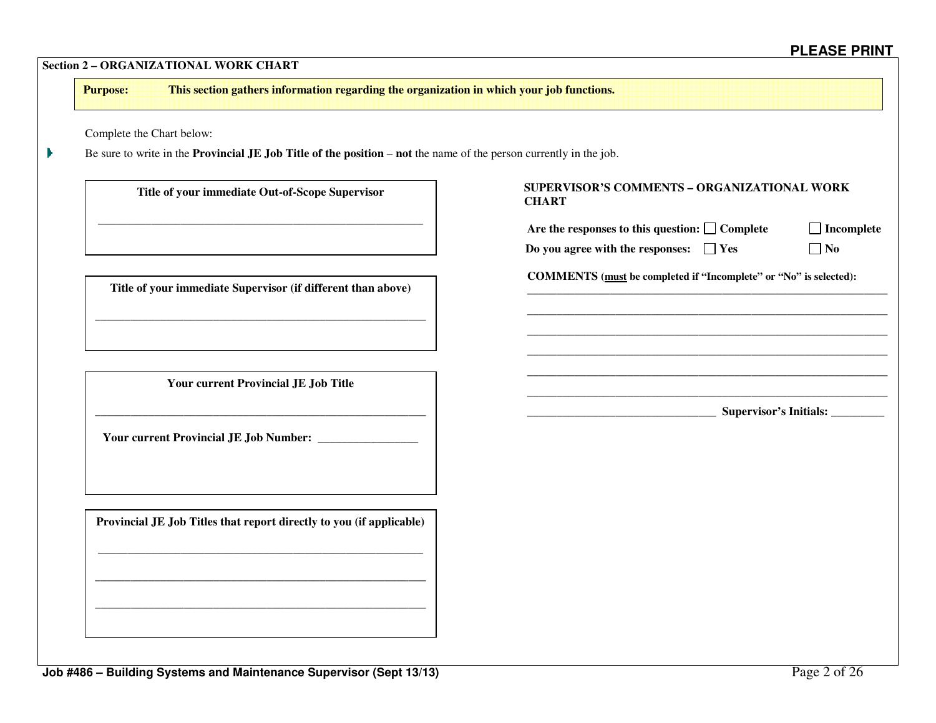| This section gathers information regarding the organization in which your job functions.<br><b>Purpose:</b> |                                                                                                                                  |                                  |  |  |  |  |  |  |
|-------------------------------------------------------------------------------------------------------------|----------------------------------------------------------------------------------------------------------------------------------|----------------------------------|--|--|--|--|--|--|
| Complete the Chart below:                                                                                   |                                                                                                                                  |                                  |  |  |  |  |  |  |
|                                                                                                             | Be sure to write in the <b>Provincial JE Job Title of the position</b> – <b>not</b> the name of the person currently in the job. |                                  |  |  |  |  |  |  |
| Title of your immediate Out-of-Scope Supervisor                                                             | SUPERVISOR'S COMMENTS - ORGANIZATIONAL WORK<br><b>CHART</b>                                                                      |                                  |  |  |  |  |  |  |
|                                                                                                             | Are the responses to this question: $\Box$ Complete                                                                              | $\Box$ Incomplete                |  |  |  |  |  |  |
|                                                                                                             | Do you agree with the responses: $\Box$ Yes                                                                                      | $\Box$ No                        |  |  |  |  |  |  |
| Title of your immediate Supervisor (if different than above)                                                | COMMENTS (must be completed if "Incomplete" or "No" is selected):                                                                |                                  |  |  |  |  |  |  |
|                                                                                                             |                                                                                                                                  |                                  |  |  |  |  |  |  |
|                                                                                                             |                                                                                                                                  |                                  |  |  |  |  |  |  |
|                                                                                                             |                                                                                                                                  |                                  |  |  |  |  |  |  |
| <b>Your current Provincial JE Job Title</b>                                                                 |                                                                                                                                  |                                  |  |  |  |  |  |  |
|                                                                                                             |                                                                                                                                  | Supervisor's Initials: _________ |  |  |  |  |  |  |
|                                                                                                             |                                                                                                                                  |                                  |  |  |  |  |  |  |
|                                                                                                             |                                                                                                                                  |                                  |  |  |  |  |  |  |
|                                                                                                             |                                                                                                                                  |                                  |  |  |  |  |  |  |
|                                                                                                             |                                                                                                                                  |                                  |  |  |  |  |  |  |
| Provincial JE Job Titles that report directly to you (if applicable)                                        |                                                                                                                                  |                                  |  |  |  |  |  |  |
|                                                                                                             |                                                                                                                                  |                                  |  |  |  |  |  |  |
|                                                                                                             |                                                                                                                                  |                                  |  |  |  |  |  |  |
|                                                                                                             |                                                                                                                                  |                                  |  |  |  |  |  |  |
|                                                                                                             |                                                                                                                                  |                                  |  |  |  |  |  |  |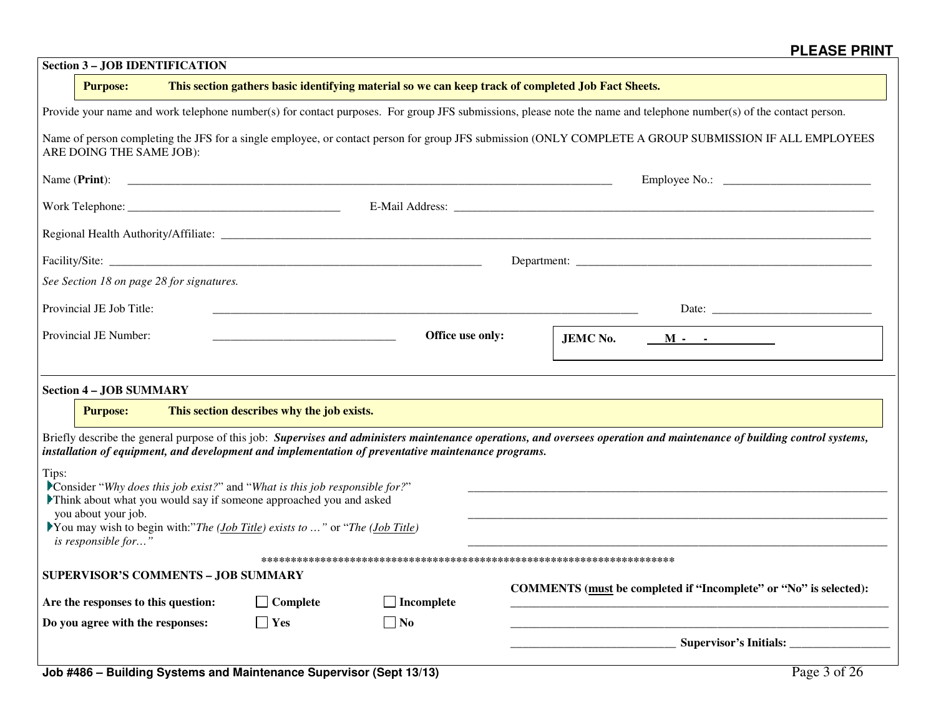| <b>Section 3 - JOB IDENTIFICATION</b>                                                                                                                                              |                                            |                                   |  |                                                                                                                                                                          |  |  |  |  |  |
|------------------------------------------------------------------------------------------------------------------------------------------------------------------------------------|--------------------------------------------|-----------------------------------|--|--------------------------------------------------------------------------------------------------------------------------------------------------------------------------|--|--|--|--|--|
| This section gathers basic identifying material so we can keep track of completed Job Fact Sheets.<br><b>Purpose:</b>                                                              |                                            |                                   |  |                                                                                                                                                                          |  |  |  |  |  |
| Provide your name and work telephone number(s) for contact purposes. For group JFS submissions, please note the name and telephone number(s) of the contact person.                |                                            |                                   |  |                                                                                                                                                                          |  |  |  |  |  |
| Name of person completing the JFS for a single employee, or contact person for group JFS submission (ONLY COMPLETE A GROUP SUBMISSION IF ALL EMPLOYEES<br>ARE DOING THE SAME JOB): |                                            |                                   |  |                                                                                                                                                                          |  |  |  |  |  |
|                                                                                                                                                                                    |                                            |                                   |  |                                                                                                                                                                          |  |  |  |  |  |
|                                                                                                                                                                                    |                                            |                                   |  |                                                                                                                                                                          |  |  |  |  |  |
|                                                                                                                                                                                    |                                            |                                   |  |                                                                                                                                                                          |  |  |  |  |  |
|                                                                                                                                                                                    |                                            |                                   |  |                                                                                                                                                                          |  |  |  |  |  |
| See Section 18 on page 28 for signatures.                                                                                                                                          |                                            |                                   |  |                                                                                                                                                                          |  |  |  |  |  |
| Provincial JE Job Title:                                                                                                                                                           |                                            |                                   |  |                                                                                                                                                                          |  |  |  |  |  |
| Provincial JE Number:                                                                                                                                                              |                                            | Office use only:                  |  | <b>JEMC No.</b><br>$M  -$                                                                                                                                                |  |  |  |  |  |
|                                                                                                                                                                                    |                                            |                                   |  |                                                                                                                                                                          |  |  |  |  |  |
| <b>Section 4 - JOB SUMMARY</b>                                                                                                                                                     |                                            |                                   |  |                                                                                                                                                                          |  |  |  |  |  |
| <b>Purpose:</b>                                                                                                                                                                    | This section describes why the job exists. |                                   |  |                                                                                                                                                                          |  |  |  |  |  |
| installation of equipment, and development and implementation of preventative maintenance programs.                                                                                |                                            |                                   |  | Briefly describe the general purpose of this job: Supervises and administers maintenance operations, and oversees operation and maintenance of building control systems, |  |  |  |  |  |
| Tips:<br>Consider "Why does this job exist?" and "What is this job responsible for?"                                                                                               |                                            |                                   |  |                                                                                                                                                                          |  |  |  |  |  |
| Think about what you would say if someone approached you and asked<br>you about your job.                                                                                          |                                            |                                   |  |                                                                                                                                                                          |  |  |  |  |  |
| You may wish to begin with:"The (Job Title) exists to " or "The (Job Title)<br>is responsible for'                                                                                 |                                            |                                   |  |                                                                                                                                                                          |  |  |  |  |  |
| <b>SUPERVISOR'S COMMENTS - JOB SUMMARY</b>                                                                                                                                         |                                            |                                   |  |                                                                                                                                                                          |  |  |  |  |  |
|                                                                                                                                                                                    |                                            |                                   |  | COMMENTS (must be completed if "Incomplete" or "No" is selected):                                                                                                        |  |  |  |  |  |
| Are the responses to this question:<br>Do you agree with the responses:                                                                                                            | $\Box$ Complete<br>$\vert$   Yes           | $\Box$ Incomplete<br>$\square$ No |  |                                                                                                                                                                          |  |  |  |  |  |
|                                                                                                                                                                                    |                                            |                                   |  |                                                                                                                                                                          |  |  |  |  |  |
|                                                                                                                                                                                    |                                            |                                   |  |                                                                                                                                                                          |  |  |  |  |  |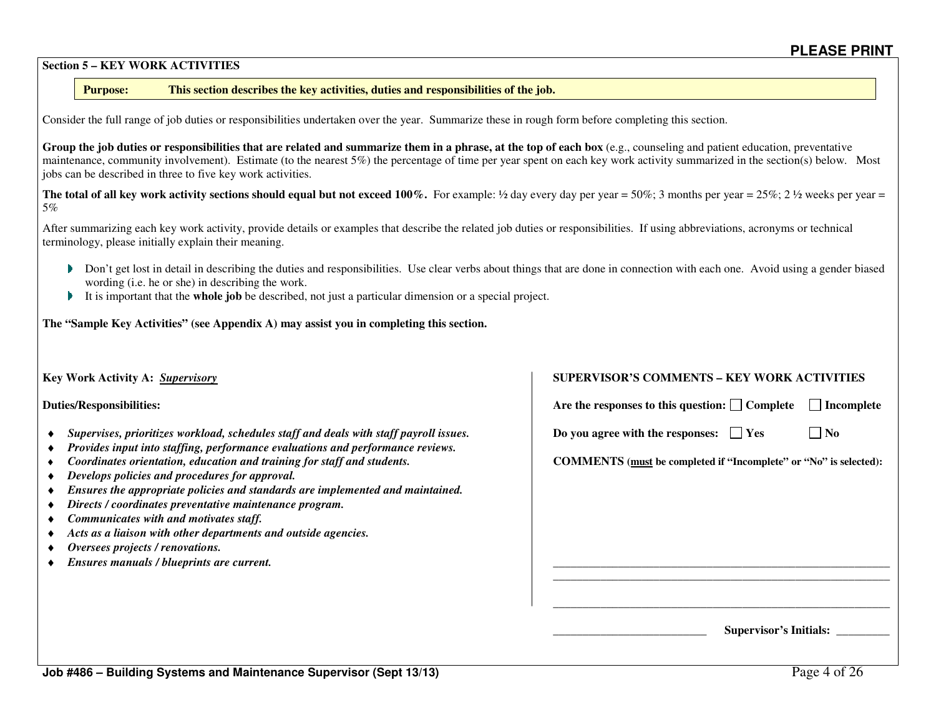#### **Section 5 – KEY WORK ACTIVITIES**

#### **Purpose:This section describes the key activities, duties and responsibilities of the job.**

Consider the full range of job duties or responsibilities undertaken over the year. Summarize these in rough form before completing this section.

Group the job duties or responsibilities that are related and summarize them in a phrase, at the top of each box (e.g., counseling and patient education, preventative maintenance, community involvement). Estimate (to the nearest 5%) the percentage of time per year spent on each key work activity summarized in the section(s) below. Most jobs can be described in three to five key work activities.

**The total of all key work activity sections should equal but not exceed 100%.** For example: ½ day every day per year = 50%; 3 months per year =  $25\%$ ;  $2\frac{1}{2}$  weeks per year = 5%

After summarizing each key work activity, provide details or examples that describe the related job duties or responsibilities. If using abbreviations, acronyms or technical terminology, please initially explain their meaning.

- Don't get lost in detail in describing the duties and responsibilities. Use clear verbs about things that are done in connection with each one. Avoid using a gender biased wording (i.e. he or she) in describing the work.
- It is important that the **whole job** be described, not just a particular dimension or a special project. Þ.

**The "Sample Key Activities" (see Appendix A) may assist you in completing this section.**

| Key Work Activity A: Supervisory                                                                                                                                         | <b>SUPERVISOR'S COMMENTS – KEY WORK ACTIVITIES</b>                       |
|--------------------------------------------------------------------------------------------------------------------------------------------------------------------------|--------------------------------------------------------------------------|
| <b>Duties/Responsibilities:</b>                                                                                                                                          | Are the responses to this question: $\Box$ Complete<br>Incomplete        |
| Supervises, prioritizes workload, schedules staff and deals with staff payroll issues.<br>Provides input into staffing, performance evaluations and performance reviews. | $\Box$ No<br>Do you agree with the responses: $\Box$ Yes                 |
| Coordinates orientation, education and training for staff and students.<br>Develops policies and procedures for approval.                                                | <b>COMMENTS</b> (must be completed if "Incomplete" or "No" is selected): |
| Ensures the appropriate policies and standards are implemented and maintained.<br>Directs / coordinates preventative maintenance program.                                |                                                                          |
| Communicates with and motivates staff.<br>Acts as a liaison with other departments and outside agencies.                                                                 |                                                                          |
| Oversees projects / renovations.                                                                                                                                         |                                                                          |
| Ensures manuals / blueprints are current.                                                                                                                                |                                                                          |
|                                                                                                                                                                          |                                                                          |
|                                                                                                                                                                          | <b>Supervisor's Initials:</b>                                            |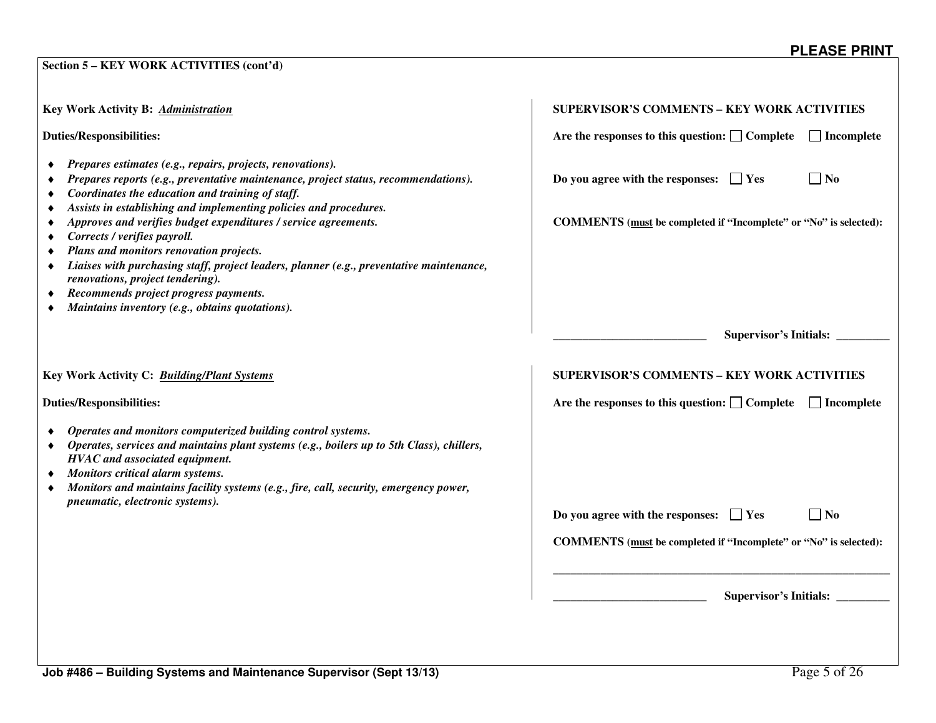| Key Work Activity B: Administration                                                                                                                                                                                                                                                                                                                                                                                                                                                                                                                                                                                                                                                | <b>SUPERVISOR'S COMMENTS - KEY WORK ACTIVITIES</b>                                                                                              |  |  |  |  |
|------------------------------------------------------------------------------------------------------------------------------------------------------------------------------------------------------------------------------------------------------------------------------------------------------------------------------------------------------------------------------------------------------------------------------------------------------------------------------------------------------------------------------------------------------------------------------------------------------------------------------------------------------------------------------------|-------------------------------------------------------------------------------------------------------------------------------------------------|--|--|--|--|
| <b>Duties/Responsibilities:</b>                                                                                                                                                                                                                                                                                                                                                                                                                                                                                                                                                                                                                                                    | Are the responses to this question: $\Box$ Complete<br>$\Box$ Incomplete                                                                        |  |  |  |  |
| Prepares estimates (e.g., repairs, projects, renovations).<br>٠<br>Prepares reports (e.g., preventative maintenance, project status, recommendations).<br>Coordinates the education and training of staff.<br>Assists in establishing and implementing policies and procedures.<br>٠<br>Approves and verifies budget expenditures / service agreements.<br>٠<br>Corrects / verifies payroll.<br>٠<br>Plans and monitors renovation projects.<br>Liaises with purchasing staff, project leaders, planner (e.g., preventative maintenance,<br>٠<br>renovations, project tendering).<br>Recommends project progress payments.<br>٠<br>Maintains inventory (e.g., obtains quotations). | Do you agree with the responses: $\Box$ Yes<br>$\overline{\phantom{a}}$ No<br>COMMENTS (must be completed if "Incomplete" or "No" is selected): |  |  |  |  |
|                                                                                                                                                                                                                                                                                                                                                                                                                                                                                                                                                                                                                                                                                    | Supervisor's Initials:                                                                                                                          |  |  |  |  |
| Key Work Activity C: Building/Plant Systems<br><b>Duties/Responsibilities:</b>                                                                                                                                                                                                                                                                                                                                                                                                                                                                                                                                                                                                     | <b>SUPERVISOR'S COMMENTS - KEY WORK ACTIVITIES</b><br>Are the responses to this question: $\Box$ Complete<br>$\Box$ Incomplete                  |  |  |  |  |
| Operates and monitors computerized building control systems.<br>Operates, services and maintains plant systems (e.g., boilers up to 5th Class), chillers,<br>٠<br>HVAC and associated equipment.<br>Monitors critical alarm systems.<br>Monitors and maintains facility systems (e.g., fire, call, security, emergency power,<br>٠<br>pneumatic, electronic systems).                                                                                                                                                                                                                                                                                                              |                                                                                                                                                 |  |  |  |  |
|                                                                                                                                                                                                                                                                                                                                                                                                                                                                                                                                                                                                                                                                                    | $\Box$ No<br>Do you agree with the responses: $\Box$ Yes                                                                                        |  |  |  |  |
|                                                                                                                                                                                                                                                                                                                                                                                                                                                                                                                                                                                                                                                                                    | COMMENTS (must be completed if "Incomplete" or "No" is selected):                                                                               |  |  |  |  |
|                                                                                                                                                                                                                                                                                                                                                                                                                                                                                                                                                                                                                                                                                    | <b>Supervisor's Initials:</b>                                                                                                                   |  |  |  |  |

**Section 5 – KEY WORK ACTIVITIES (cont'd)**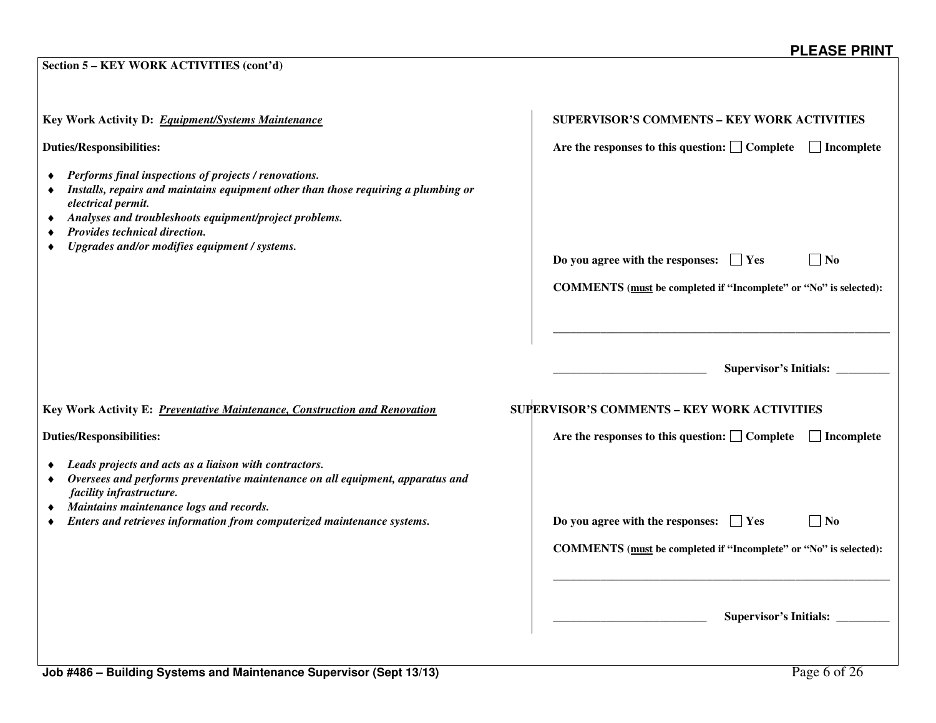| Key Work Activity D: Equipment/Systems Maintenance                                                                                                                                                                                                                                                                           | <b>SUPERVISOR'S COMMENTS - KEY WORK ACTIVITIES</b>                           |
|------------------------------------------------------------------------------------------------------------------------------------------------------------------------------------------------------------------------------------------------------------------------------------------------------------------------------|------------------------------------------------------------------------------|
| <b>Duties/Responsibilities:</b>                                                                                                                                                                                                                                                                                              | Are the responses to this question: $\Box$ Complete<br>  Incomplete          |
| Performs final inspections of projects / renovations.<br>Installs, repairs and maintains equipment other than those requiring a plumbing or<br>٠<br>electrical permit.<br>Analyses and troubleshoots equipment/project problems.<br>٠<br>Provides technical direction.<br>٠<br>Upgrades and/or modifies equipment / systems. | Do you agree with the responses: $\Box$ Yes<br>$\Box$ No                     |
|                                                                                                                                                                                                                                                                                                                              | COMMENTS (must be completed if "Incomplete" or "No" is selected):            |
| Key Work Activity E: Preventative Maintenance, Construction and Renovation                                                                                                                                                                                                                                                   | Supervisor's Initials:<br><b>SUPERVISOR'S COMMENTS - KEY WORK ACTIVITIES</b> |
| <b>Duties/Responsibilities:</b>                                                                                                                                                                                                                                                                                              | Are the responses to this question: $\Box$ Complete<br>$\Box$ Incomplete     |
| Leads projects and acts as a liaison with contractors.<br>Oversees and performs preventative maintenance on all equipment, apparatus and<br>٠<br>facility infrastructure.<br>Maintains maintenance logs and records.<br>٠                                                                                                    |                                                                              |
| Enters and retrieves information from computerized maintenance systems.                                                                                                                                                                                                                                                      | Do you agree with the responses: $\Box$ Yes<br>$\Box$ No                     |
|                                                                                                                                                                                                                                                                                                                              | COMMENTS (must be completed if "Incomplete" or "No" is selected):            |
|                                                                                                                                                                                                                                                                                                                              |                                                                              |
|                                                                                                                                                                                                                                                                                                                              | Supervisor's Initials:                                                       |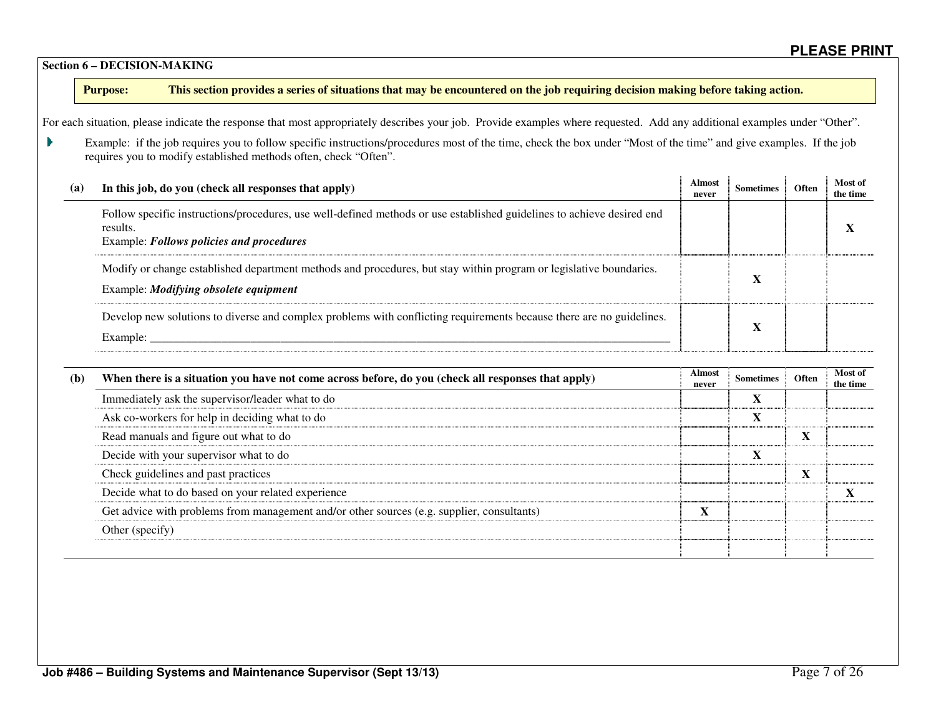### **Section 6 – DECISION-MAKING**

### **Purpose: This section provides a series of situations that may be encountered on the job requiring decision making before taking action.**

For each situation, please indicate the response that most appropriately describes your job. Provide examples where requested. Add any additional examples under "Other".

Example: if the job requires you to follow specific instructions/procedures most of the time, check the box under "Most of the time" and give examples. If the job requires you to modify established methods often, check "Often".

| (a) | In this job, do you (check all responses that apply)                                                                                                                           | Almost<br>never | Sometimes | Often | Most of<br>the time |
|-----|--------------------------------------------------------------------------------------------------------------------------------------------------------------------------------|-----------------|-----------|-------|---------------------|
|     | Follow specific instructions/procedures, use well-defined methods or use established guidelines to achieve desired end<br>results.<br>Example: Follows policies and procedures |                 |           |       |                     |
|     | Modify or change established department methods and procedures, but stay within program or legislative boundaries.<br>Example: <i>Modifying obsolete equipment</i>             |                 |           |       |                     |
|     | Develop new solutions to diverse and complex problems with conflicting requirements because there are no guidelines.<br>Example:                                               |                 |           |       |                     |

| (b) | When there is a situation you have not come across before, do you (check all responses that apply) |  | Sometimes | <b>Often</b> | Most of<br>the time |
|-----|----------------------------------------------------------------------------------------------------|--|-----------|--------------|---------------------|
|     | Immediately ask the supervisor/leader what to do                                                   |  |           |              |                     |
|     | Ask co-workers for help in deciding what to do                                                     |  |           |              |                     |
|     | Read manuals and figure out what to do                                                             |  |           |              |                     |
|     | Decide with your supervisor what to do                                                             |  |           |              |                     |
|     | Check guidelines and past practices                                                                |  |           |              |                     |
|     | Decide what to do based on your related experience                                                 |  |           |              |                     |
|     | Get advice with problems from management and/or other sources (e.g. supplier, consultants)         |  |           |              |                     |
|     | Other (specify)                                                                                    |  |           |              |                     |
|     |                                                                                                    |  |           |              |                     |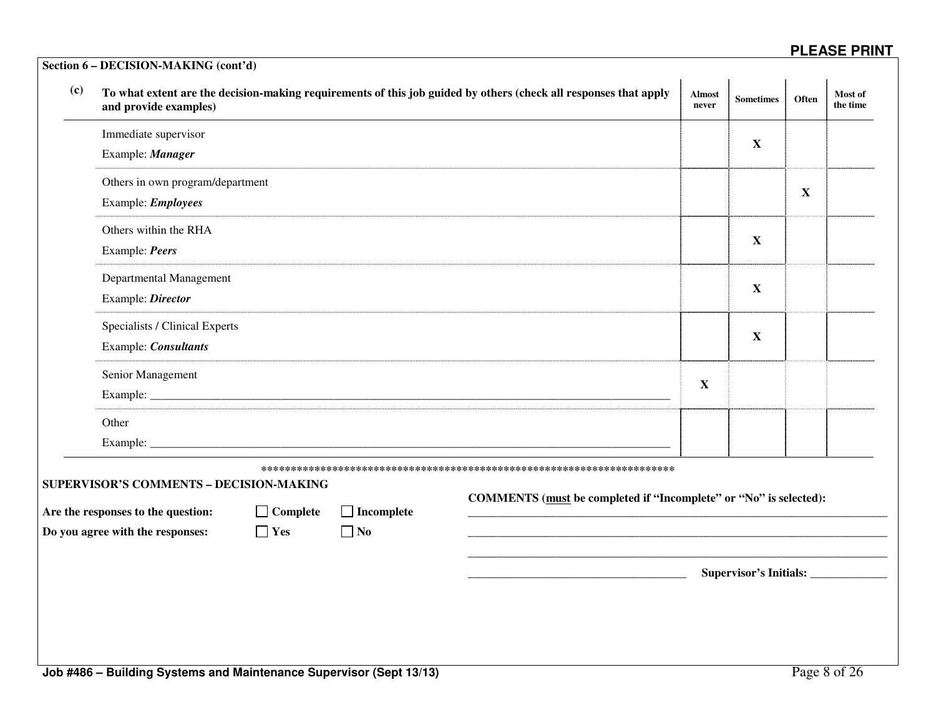| (c)                                                                                                                   | and provide examples)            |            |                                                                   | To what extent are the decision-making requirements of this job guided by others (check all responses that apply | <b>Almost</b><br>never | <b>Sometimes</b>                     | Often       | Most of<br>the time |
|-----------------------------------------------------------------------------------------------------------------------|----------------------------------|------------|-------------------------------------------------------------------|------------------------------------------------------------------------------------------------------------------|------------------------|--------------------------------------|-------------|---------------------|
|                                                                                                                       | Immediate supervisor             |            |                                                                   |                                                                                                                  |                        |                                      |             |                     |
|                                                                                                                       | Example: Manager                 |            |                                                                   |                                                                                                                  |                        | X                                    |             |                     |
|                                                                                                                       | Others in own program/department |            |                                                                   |                                                                                                                  |                        |                                      |             |                     |
|                                                                                                                       | Example: <i>Employees</i>        |            |                                                                   |                                                                                                                  |                        |                                      | $\mathbf X$ |                     |
|                                                                                                                       | Others within the RHA            |            |                                                                   |                                                                                                                  |                        | $\mathbf X$                          |             |                     |
|                                                                                                                       | Example: Peers                   |            |                                                                   |                                                                                                                  |                        |                                      |             |                     |
|                                                                                                                       | Departmental Management          |            |                                                                   |                                                                                                                  |                        | $\mathbf{X}$                         |             |                     |
|                                                                                                                       | Example: Director                |            |                                                                   |                                                                                                                  |                        |                                      |             |                     |
|                                                                                                                       | Specialists / Clinical Experts   |            |                                                                   |                                                                                                                  |                        | $\mathbf X$                          |             |                     |
|                                                                                                                       | Example: Consultants             |            |                                                                   |                                                                                                                  |                        |                                      |             |                     |
|                                                                                                                       | Senior Management                |            |                                                                   |                                                                                                                  | $\mathbf X$            |                                      |             |                     |
|                                                                                                                       |                                  |            |                                                                   |                                                                                                                  |                        |                                      |             |                     |
|                                                                                                                       | Other                            |            |                                                                   |                                                                                                                  |                        |                                      |             |                     |
|                                                                                                                       |                                  |            |                                                                   |                                                                                                                  |                        |                                      |             |                     |
|                                                                                                                       |                                  |            |                                                                   |                                                                                                                  |                        |                                      |             |                     |
| SUPERVISOR'S COMMENTS - DECISION-MAKING<br>$\Box$ Complete<br>Are the responses to the question:<br>$\Box$ Incomplete |                                  |            | COMMENTS (must be completed if "Incomplete" or "No" is selected): |                                                                                                                  |                        |                                      |             |                     |
|                                                                                                                       | Do you agree with the responses: | $\Box$ Yes | $\Box$ No                                                         |                                                                                                                  |                        |                                      |             |                     |
|                                                                                                                       |                                  |            |                                                                   |                                                                                                                  |                        | Supervisor's Initials: _____________ |             |                     |
|                                                                                                                       |                                  |            |                                                                   |                                                                                                                  |                        |                                      |             |                     |
|                                                                                                                       |                                  |            |                                                                   |                                                                                                                  |                        |                                      |             |                     |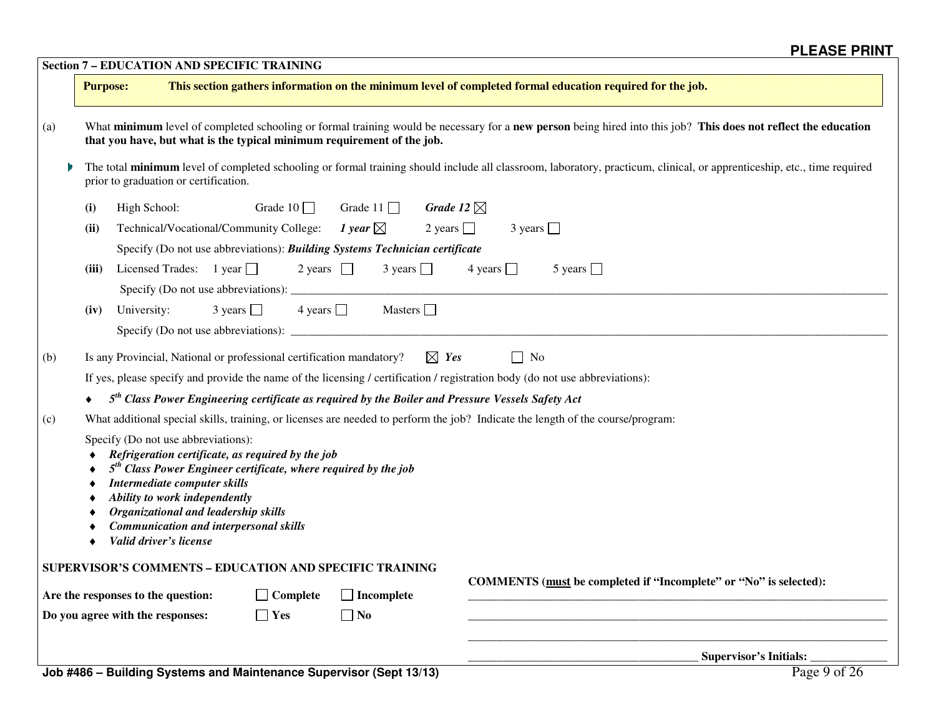|     |                                                                                                                                                                                                                                                                                                                                                   | <b>Section 7 - EDUCATION AND SPECIFIC TRAINING</b>                          |                   |                                  |                                                                                                                                 |  |  |  |  |  |
|-----|---------------------------------------------------------------------------------------------------------------------------------------------------------------------------------------------------------------------------------------------------------------------------------------------------------------------------------------------------|-----------------------------------------------------------------------------|-------------------|----------------------------------|---------------------------------------------------------------------------------------------------------------------------------|--|--|--|--|--|
|     | <b>Purpose:</b>                                                                                                                                                                                                                                                                                                                                   |                                                                             |                   |                                  | This section gathers information on the minimum level of completed formal education required for the job.                       |  |  |  |  |  |
| (a) | What minimum level of completed schooling or formal training would be necessary for a new person being hired into this job? This does not reflect the education<br>that you have, but what is the typical minimum requirement of the job.                                                                                                         |                                                                             |                   |                                  |                                                                                                                                 |  |  |  |  |  |
|     | The total minimum level of completed schooling or formal training should include all classroom, laboratory, practicum, clinical, or apprenticeship, etc., time required<br>prior to graduation or certification.                                                                                                                                  |                                                                             |                   |                                  |                                                                                                                                 |  |  |  |  |  |
|     | (i)                                                                                                                                                                                                                                                                                                                                               | High School:                                                                | Grade $10$ $\Box$ | Grade 11 $\Box$                  | Grade 12 $\boxtimes$                                                                                                            |  |  |  |  |  |
|     | (ii)                                                                                                                                                                                                                                                                                                                                              | Technical/Vocational/Community College:                                     |                   | 1 year $\boxtimes$               | 2 years $\Box$<br>$3 \text{ years}$                                                                                             |  |  |  |  |  |
|     |                                                                                                                                                                                                                                                                                                                                                   | Specify (Do not use abbreviations): Building Systems Technician certificate |                   |                                  |                                                                                                                                 |  |  |  |  |  |
|     | (iii)                                                                                                                                                                                                                                                                                                                                             | Licensed Trades: $1$ year $\Box$                                            | 2 years $\Box$    | $3 \text{ years}$                | 4 years $\Box$<br>5 years $\Box$                                                                                                |  |  |  |  |  |
|     | (iv)                                                                                                                                                                                                                                                                                                                                              | University:                                                                 | $3 \text{ years}$ | $4 \text{ years}$ Masters $\Box$ |                                                                                                                                 |  |  |  |  |  |
|     |                                                                                                                                                                                                                                                                                                                                                   |                                                                             |                   |                                  |                                                                                                                                 |  |  |  |  |  |
| (b) |                                                                                                                                                                                                                                                                                                                                                   | Is any Provincial, National or professional certification mandatory?        |                   |                                  | $\boxtimes$ Yes<br>$\Box$ No                                                                                                    |  |  |  |  |  |
|     |                                                                                                                                                                                                                                                                                                                                                   |                                                                             |                   |                                  | If yes, please specify and provide the name of the licensing / certification / registration body (do not use abbreviations):    |  |  |  |  |  |
|     |                                                                                                                                                                                                                                                                                                                                                   |                                                                             |                   |                                  | $5th$ Class Power Engineering certificate as required by the Boiler and Pressure Vessels Safety Act                             |  |  |  |  |  |
| (c) |                                                                                                                                                                                                                                                                                                                                                   |                                                                             |                   |                                  | What additional special skills, training, or licenses are needed to perform the job? Indicate the length of the course/program: |  |  |  |  |  |
|     | Specify (Do not use abbreviations):<br>Refrigeration certificate, as required by the job<br>$5th$ Class Power Engineer certificate, where required by the job<br>Intermediate computer skills<br>Ability to work independently<br>Organizational and leadership skills<br><b>Communication and interpersonal skills</b><br>Valid driver's license |                                                                             |                   |                                  |                                                                                                                                 |  |  |  |  |  |
|     |                                                                                                                                                                                                                                                                                                                                                   | SUPERVISOR'S COMMENTS - EDUCATION AND SPECIFIC TRAINING                     |                   |                                  |                                                                                                                                 |  |  |  |  |  |
|     |                                                                                                                                                                                                                                                                                                                                                   | Are the responses to the question:                                          | <b>Complete</b>   | $\Box$ Incomplete                | COMMENTS (must be completed if "Incomplete" or "No" is selected):                                                               |  |  |  |  |  |
|     |                                                                                                                                                                                                                                                                                                                                                   | Do you agree with the responses:                                            | $\Box$ Yes        | $\Box$ No                        |                                                                                                                                 |  |  |  |  |  |
|     |                                                                                                                                                                                                                                                                                                                                                   |                                                                             |                   |                                  | Supervisor's Initials:                                                                                                          |  |  |  |  |  |
|     |                                                                                                                                                                                                                                                                                                                                                   |                                                                             |                   | $-10 - 140$                      | $D_{\text{max}} \cap \mathcal{L} \cap \mathcal{L}$                                                                              |  |  |  |  |  |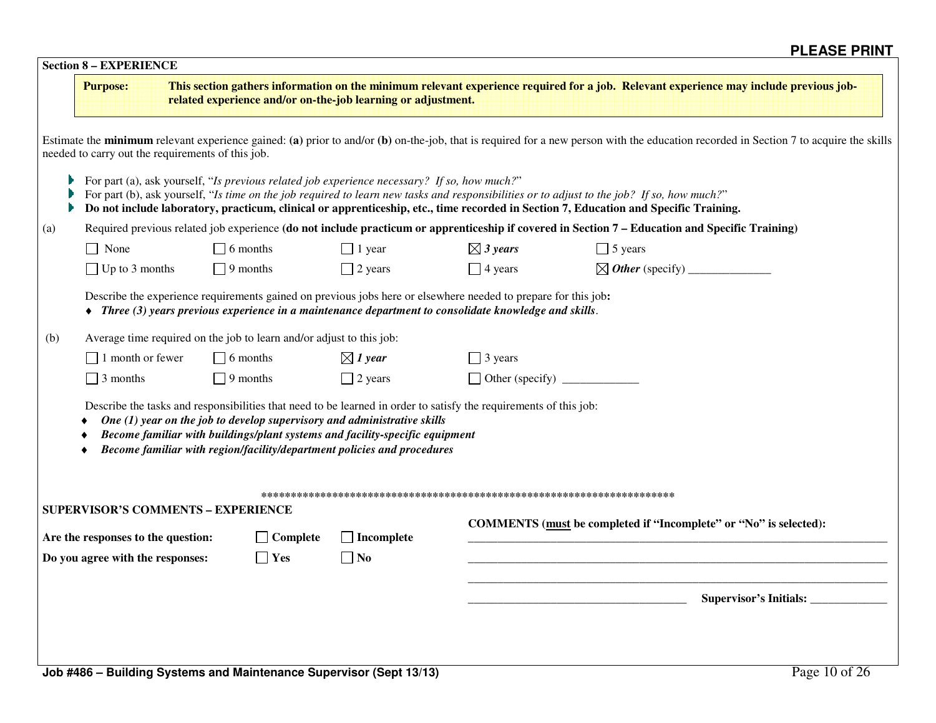|  | <b>Section 8 – EXPERIENCE</b> |
|--|-------------------------------|
|--|-------------------------------|

|     | <b>Purpose:</b>                                                                                                     |                                                                                                                                                       | related experience and/or on-the-job learning or adjustment.                                                                                                                                                                        |                               | This section gathers information on the minimum relevant experience required for a job. Relevant experience may include previous job-                                                                                                                                               |
|-----|---------------------------------------------------------------------------------------------------------------------|-------------------------------------------------------------------------------------------------------------------------------------------------------|-------------------------------------------------------------------------------------------------------------------------------------------------------------------------------------------------------------------------------------|-------------------------------|-------------------------------------------------------------------------------------------------------------------------------------------------------------------------------------------------------------------------------------------------------------------------------------|
|     | needed to carry out the requirements of this job.                                                                   |                                                                                                                                                       |                                                                                                                                                                                                                                     |                               | Estimate the minimum relevant experience gained: (a) prior to and/or (b) on-the-job, that is required for a new person with the education recorded in Section 7 to acquire the skills                                                                                               |
|     |                                                                                                                     |                                                                                                                                                       | For part (a), ask yourself, "Is previous related job experience necessary? If so, how much?"                                                                                                                                        |                               | For part (b), ask yourself, "Is time on the job required to learn new tasks and responsibilities or to adjust to the job? If so, how much?"<br>Do not include laboratory, practicum, clinical or apprenticeship, etc., time recorded in Section 7, Education and Specific Training. |
| (a) |                                                                                                                     |                                                                                                                                                       |                                                                                                                                                                                                                                     |                               | Required previous related job experience (do not include practicum or apprenticeship if covered in Section 7 - Education and Specific Training)                                                                                                                                     |
|     | $\Box$ None                                                                                                         | $\Box$ 6 months                                                                                                                                       | $\Box$ 1 year                                                                                                                                                                                                                       | $\boxtimes$ 3 years           | $\Box$ 5 years                                                                                                                                                                                                                                                                      |
|     | $\Box$ Up to 3 months                                                                                               | $\Box$ 9 months                                                                                                                                       | $\Box$ 2 years                                                                                                                                                                                                                      | $\Box$ 4 years                |                                                                                                                                                                                                                                                                                     |
|     |                                                                                                                     |                                                                                                                                                       | Describe the experience requirements gained on previous jobs here or elsewhere needed to prepare for this job:<br>$\triangleq$ Three (3) years previous experience in a maintenance department to consolidate knowledge and skills. |                               |                                                                                                                                                                                                                                                                                     |
| (b) |                                                                                                                     | Average time required on the job to learn and/or adjust to this job:                                                                                  |                                                                                                                                                                                                                                     |                               |                                                                                                                                                                                                                                                                                     |
|     | $\Box$ 1 month or fewer                                                                                             | $\Box$ 6 months                                                                                                                                       | $\boxtimes$ 1 year                                                                                                                                                                                                                  | $\Box$ 3 years                |                                                                                                                                                                                                                                                                                     |
|     | $\Box$ 3 months                                                                                                     | $\Box$ 9 months                                                                                                                                       | $\Box$ 2 years                                                                                                                                                                                                                      | $\Box$ Other (specify) $\Box$ |                                                                                                                                                                                                                                                                                     |
|     |                                                                                                                     | One $(1)$ year on the job to develop supervisory and administrative skills<br>Become familiar with region/facility/department policies and procedures | Describe the tasks and responsibilities that need to be learned in order to satisfy the requirements of this job:<br>Become familiar with buildings/plant systems and facility-specific equipment                                   |                               |                                                                                                                                                                                                                                                                                     |
|     |                                                                                                                     |                                                                                                                                                       |                                                                                                                                                                                                                                     |                               |                                                                                                                                                                                                                                                                                     |
|     | <b>SUPERVISOR'S COMMENTS - EXPERIENCE</b><br>Are the responses to the question:<br>Do you agree with the responses: | $\Box$ Complete<br>$\Box$ Yes                                                                                                                         | $\Box$ Incomplete<br>$\Box$ No                                                                                                                                                                                                      |                               | COMMENTS (must be completed if "Incomplete" or "No" is selected):                                                                                                                                                                                                                   |
|     |                                                                                                                     |                                                                                                                                                       |                                                                                                                                                                                                                                     |                               |                                                                                                                                                                                                                                                                                     |
|     |                                                                                                                     | Job #486 - Building Systems and Maintenance Supervisor (Sept 13/13)                                                                                   |                                                                                                                                                                                                                                     |                               | Page 10 of 26                                                                                                                                                                                                                                                                       |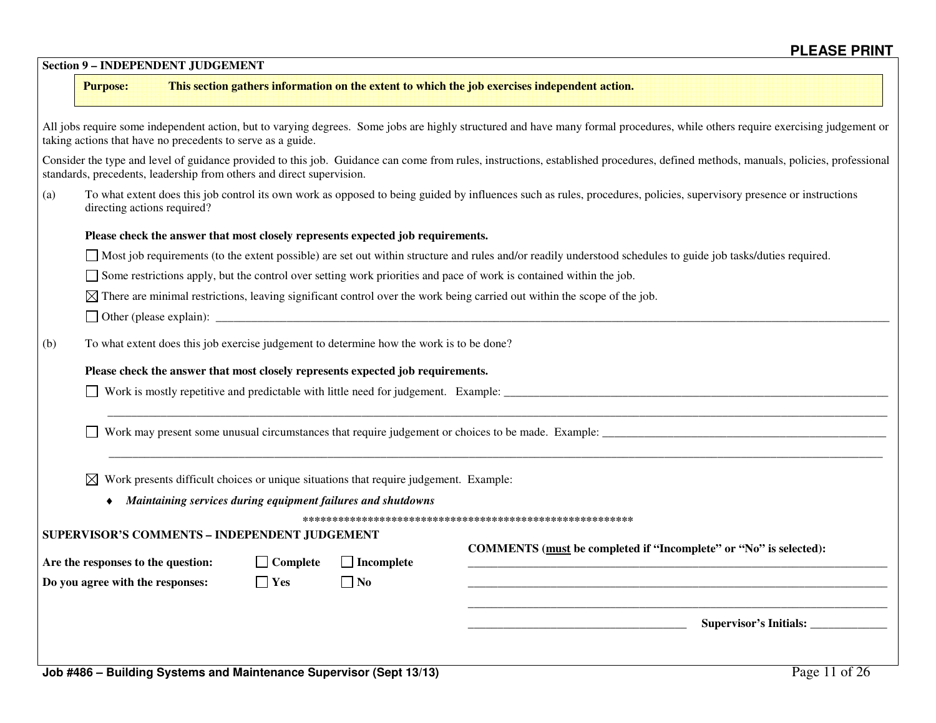|     | <b>Purpose:</b>                                                        |                                                             |                                                                       |                                                                                                                                                       | This section gathers information on the extent to which the job exercises independent action.                                                                                      |
|-----|------------------------------------------------------------------------|-------------------------------------------------------------|-----------------------------------------------------------------------|-------------------------------------------------------------------------------------------------------------------------------------------------------|------------------------------------------------------------------------------------------------------------------------------------------------------------------------------------|
|     |                                                                        | taking actions that have no precedents to serve as a guide. |                                                                       |                                                                                                                                                       | All jobs require some independent action, but to varying degrees. Some jobs are highly structured and have many formal procedures, while others require exercising judgement or    |
|     |                                                                        |                                                             | standards, precedents, leadership from others and direct supervision. |                                                                                                                                                       | Consider the type and level of guidance provided to this job. Guidance can come from rules, instructions, established procedures, defined methods, manuals, policies, professional |
| (a) | directing actions required?                                            |                                                             |                                                                       |                                                                                                                                                       | To what extent does this job control its own work as opposed to being guided by influences such as rules, procedures, policies, supervisory presence or instructions               |
|     |                                                                        |                                                             |                                                                       | Please check the answer that most closely represents expected job requirements.                                                                       |                                                                                                                                                                                    |
|     |                                                                        |                                                             |                                                                       |                                                                                                                                                       | Most job requirements (to the extent possible) are set out within structure and rules and/or readily understood schedules to guide job tasks/duties required.                      |
|     |                                                                        |                                                             |                                                                       |                                                                                                                                                       | Some restrictions apply, but the control over setting work priorities and pace of work is contained within the job.                                                                |
|     |                                                                        |                                                             |                                                                       |                                                                                                                                                       | $\boxtimes$ There are minimal restrictions, leaving significant control over the work being carried out within the scope of the job.                                               |
|     |                                                                        |                                                             |                                                                       |                                                                                                                                                       |                                                                                                                                                                                    |
|     |                                                                        |                                                             |                                                                       |                                                                                                                                                       | Work is mostly repetitive and predictable with little need for judgement. Example:                                                                                                 |
|     | ⊠                                                                      |                                                             | SUPERVISOR'S COMMENTS - INDEPENDENT JUDGEMENT                         | Work presents difficult choices or unique situations that require judgement. Example:<br>Maintaining services during equipment failures and shutdowns |                                                                                                                                                                                    |
|     |                                                                        |                                                             | $\Box$ Complete                                                       | $\Box$ Incomplete                                                                                                                                     | COMMENTS (must be completed if "Incomplete" or "No" is selected):                                                                                                                  |
|     | Are the responses to the question:<br>Do you agree with the responses: |                                                             |                                                                       | $\Box$ No                                                                                                                                             |                                                                                                                                                                                    |
|     |                                                                        |                                                             | $\Box$ Yes                                                            |                                                                                                                                                       |                                                                                                                                                                                    |

**Section 9 – INDEPENDENT JUDGEMENT**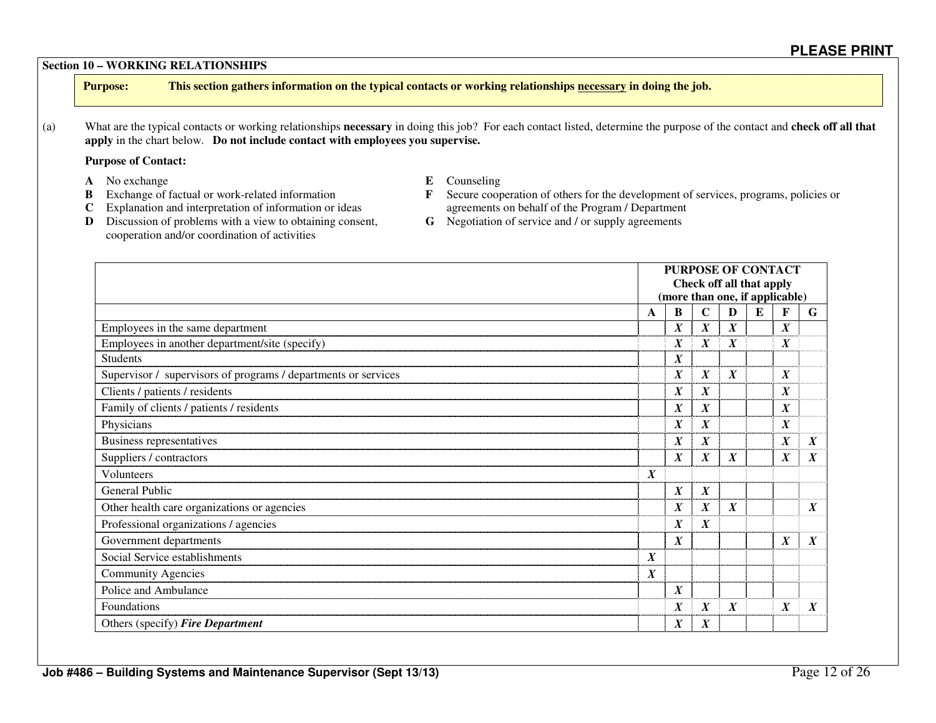#### **Section 10 – WORKING RELATIONSHIPS**

**Purpose: This section gathers information on the typical contacts or working relationships necessary in doing the job.** 

(a) What are the typical contacts or working relationships **necessary** in doing this job? For each contact listed, determine the purpose of the contact and **check off all that apply** in the chart below. **Do not include contact with employees you supervise.** 

#### **Purpose of Contact:**

- 
- **A** No exchange **E** Counseling<br> **B** Exchange of factual or work-related information **E** Secure coop
- 
- 
- **B** Exchange of factual or work-related information **F** Secure cooperation of others for the development of services, programs, policies or **C** Explanation and interpretation of information or ideas agreements on behalf of the Program / Department **D** Discussion of problems with a view to obtaining consent, **G** Negotiation of service and / or supply agreements
- **D** Discussion of problems with a view to obtaining consent, cooperation and/or coordination of activities
- 

|                                                                | <b>PURPOSE OF CONTACT</b><br>Check off all that apply<br>(more than one, if applicable) |                  |                  |                  |  |                  |                  |
|----------------------------------------------------------------|-----------------------------------------------------------------------------------------|------------------|------------------|------------------|--|------------------|------------------|
|                                                                | $\mathbf C$<br>B<br>D<br>E<br>A                                                         |                  |                  |                  |  | F                | G                |
| Employees in the same department                               |                                                                                         | $\boldsymbol{X}$ | $\boldsymbol{X}$ | $\boldsymbol{X}$ |  | $\boldsymbol{X}$ |                  |
| Employees in another department/site (specify)                 |                                                                                         | $\boldsymbol{X}$ | $\boldsymbol{X}$ | X                |  | $\boldsymbol{X}$ |                  |
| <b>Students</b>                                                |                                                                                         | $\boldsymbol{X}$ |                  |                  |  |                  |                  |
| Supervisor / supervisors of programs / departments or services |                                                                                         | $\boldsymbol{X}$ | $\boldsymbol{X}$ | $\boldsymbol{X}$ |  | $\boldsymbol{X}$ |                  |
| Clients / patients / residents                                 |                                                                                         | $\boldsymbol{X}$ | $\boldsymbol{X}$ |                  |  | $\boldsymbol{X}$ |                  |
| Family of clients / patients / residents                       |                                                                                         | $\boldsymbol{X}$ | $\boldsymbol{X}$ |                  |  | $\boldsymbol{X}$ |                  |
| Physicians                                                     |                                                                                         | $\boldsymbol{X}$ | $\boldsymbol{X}$ |                  |  | $\boldsymbol{X}$ |                  |
| Business representatives                                       |                                                                                         | $\boldsymbol{X}$ | $\boldsymbol{X}$ |                  |  | $\boldsymbol{X}$ | $\boldsymbol{X}$ |
| Suppliers / contractors                                        |                                                                                         | $\boldsymbol{X}$ | $\boldsymbol{X}$ | $\boldsymbol{X}$ |  | X                | $\boldsymbol{X}$ |
| <b>Volunteers</b>                                              | $\boldsymbol{X}$                                                                        |                  |                  |                  |  |                  |                  |
| General Public                                                 |                                                                                         | $\boldsymbol{X}$ | $\boldsymbol{X}$ |                  |  |                  |                  |
| Other health care organizations or agencies                    |                                                                                         | $\boldsymbol{X}$ | $\boldsymbol{X}$ | $\boldsymbol{X}$ |  |                  | $\boldsymbol{X}$ |
| Professional organizations / agencies                          |                                                                                         | $\boldsymbol{X}$ | $\boldsymbol{X}$ |                  |  |                  |                  |
| Government departments                                         |                                                                                         | $\boldsymbol{X}$ |                  |                  |  | $\boldsymbol{X}$ | $\boldsymbol{X}$ |
| Social Service establishments                                  | $\boldsymbol{X}$                                                                        |                  |                  |                  |  |                  |                  |
| <b>Community Agencies</b>                                      | $\boldsymbol{X}$                                                                        |                  |                  |                  |  |                  |                  |
| Police and Ambulance                                           |                                                                                         | $\boldsymbol{X}$ |                  |                  |  |                  |                  |
| Foundations                                                    |                                                                                         | $\boldsymbol{X}$ | $\boldsymbol{X}$ | $\boldsymbol{X}$ |  | $\boldsymbol{X}$ | $\boldsymbol{X}$ |
| Others (specify) Fire Department                               |                                                                                         | $\boldsymbol{X}$ | X                |                  |  |                  |                  |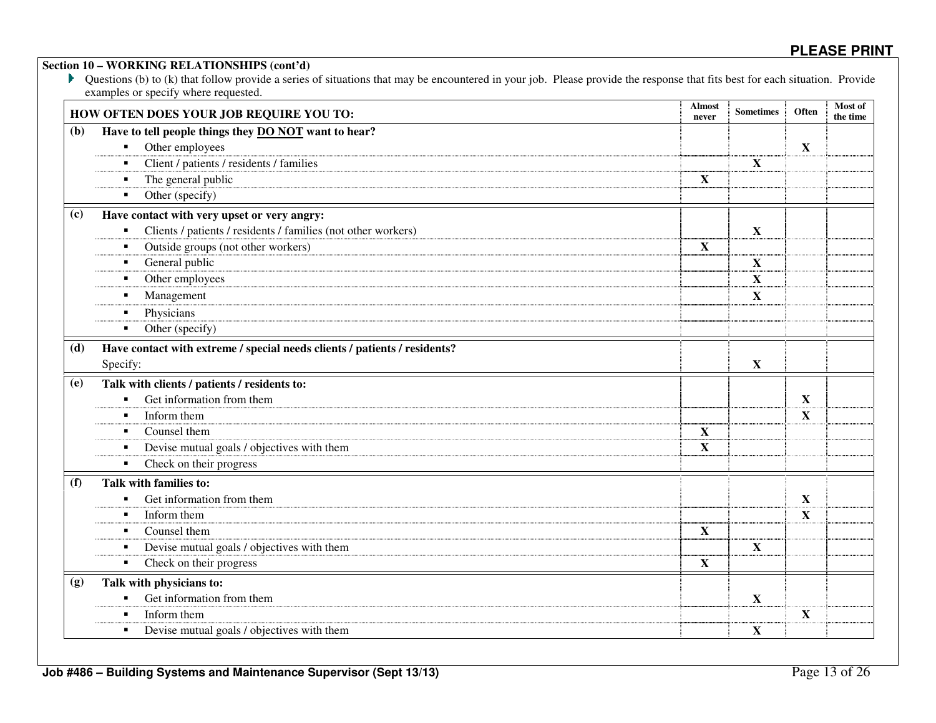|     | examples or specify where requested.<br>HOW OFTEN DOES YOUR JOB REQUIRE YOU TO: | <b>Almost</b><br>never | <b>Sometimes</b> | Often       | Most of<br>the time |
|-----|---------------------------------------------------------------------------------|------------------------|------------------|-------------|---------------------|
| (b) | Have to tell people things they <b>DO NOT</b> want to hear?                     |                        |                  |             |                     |
|     | Other employees                                                                 |                        |                  | X           |                     |
|     | Client / patients / residents / families                                        |                        | $\mathbf X$      |             |                     |
|     | The general public<br>п                                                         | $\mathbf X$            |                  |             |                     |
|     | Other (specify)<br>$\blacksquare$                                               |                        |                  |             |                     |
| (c) | Have contact with very upset or very angry:                                     |                        |                  |             |                     |
|     | Clients / patients / residents / families (not other workers)                   |                        | $\mathbf X$      |             |                     |
|     | Outside groups (not other workers)                                              | $\mathbf X$            |                  |             |                     |
|     | General public                                                                  |                        | $\mathbf X$      |             |                     |
|     | Other employees                                                                 |                        | $\mathbf{X}$     |             |                     |
|     | Management                                                                      |                        | $\mathbf{X}$     |             |                     |
|     | Physicians<br>$\blacksquare$                                                    |                        |                  |             |                     |
|     | Other (specify)<br>$\blacksquare$                                               |                        |                  |             |                     |
| (d) | Have contact with extreme / special needs clients / patients / residents?       |                        |                  |             |                     |
|     | Specify:                                                                        |                        | $\mathbf X$      |             |                     |
| (e) | Talk with clients / patients / residents to:                                    |                        |                  |             |                     |
|     | Get information from them                                                       |                        |                  | X           |                     |
|     | Inform them<br>$\blacksquare$                                                   |                        |                  | X           |                     |
|     | Counsel them                                                                    | $\mathbf X$            |                  |             |                     |
|     | Devise mutual goals / objectives with them<br>п                                 | $\mathbf X$            |                  |             |                     |
|     | Check on their progress                                                         |                        |                  |             |                     |
| (f) | Talk with families to:                                                          |                        |                  |             |                     |
|     | Get information from them                                                       |                        |                  | X           |                     |
|     | Inform them                                                                     |                        |                  | X           |                     |
|     | Counsel them                                                                    | $\mathbf X$            |                  |             |                     |
|     | Devise mutual goals / objectives with them<br>п                                 |                        | $\mathbf X$      |             |                     |
|     | Check on their progress<br>п                                                    | $\mathbf X$            |                  |             |                     |
| (g) | Talk with physicians to:                                                        |                        |                  |             |                     |
|     | Get information from them                                                       |                        | $\mathbf X$      |             |                     |
|     | Inform them<br>п                                                                |                        |                  | $\mathbf X$ |                     |
|     | Devise mutual goals / objectives with them<br>п                                 |                        | $\mathbf X$      |             |                     |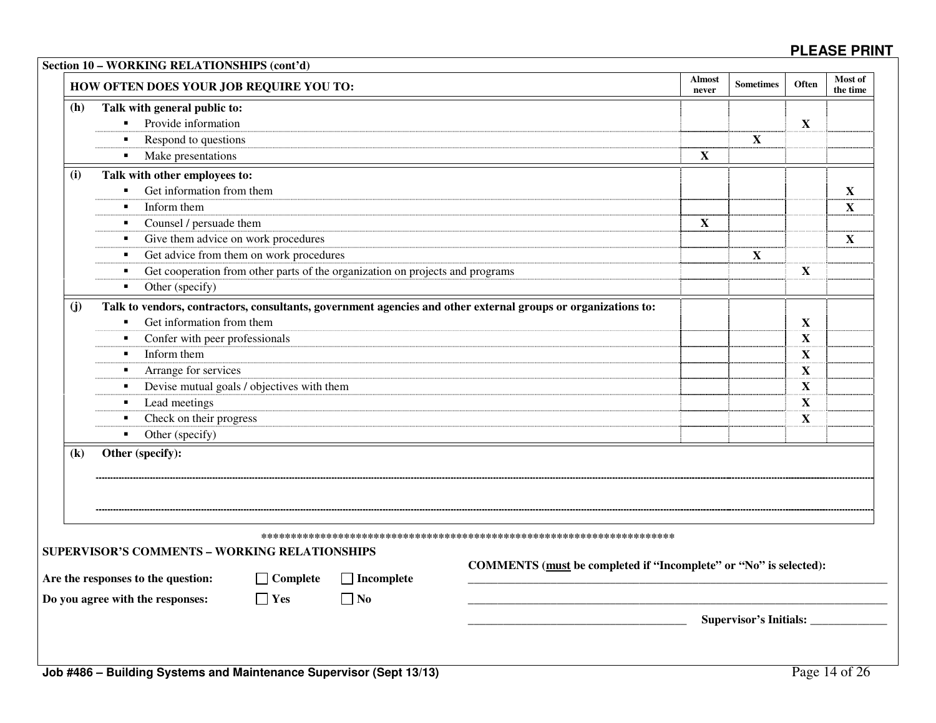|                            | HOW OFTEN DOES YOUR JOB REQUIRE YOU TO:                                                                       | <b>Almost</b><br>never                                            | <b>Sometimes</b>                   | <b>Often</b> | Most of<br>the time |
|----------------------------|---------------------------------------------------------------------------------------------------------------|-------------------------------------------------------------------|------------------------------------|--------------|---------------------|
| (h)                        | Talk with general public to:                                                                                  |                                                                   |                                    |              |                     |
|                            | Provide information<br>$\blacksquare$                                                                         |                                                                   |                                    | X            |                     |
|                            | Respond to questions<br>$\blacksquare$                                                                        |                                                                   | $\mathbf X$                        |              |                     |
|                            | Make presentations<br>$\blacksquare$                                                                          | $\mathbf X$                                                       |                                    |              |                     |
| (i)                        | Talk with other employees to:                                                                                 |                                                                   |                                    |              |                     |
|                            | Get information from them<br>$\blacksquare$                                                                   |                                                                   |                                    |              | $\mathbf X$         |
|                            | Inform them<br>$\blacksquare$                                                                                 |                                                                   |                                    |              | $\mathbf X$         |
|                            | Counsel / persuade them<br>٠                                                                                  | $\mathbf X$                                                       |                                    |              |                     |
|                            | Give them advice on work procedures<br>٠                                                                      |                                                                   |                                    |              | $\mathbf X$         |
|                            | Get advice from them on work procedures<br>٠                                                                  |                                                                   | $\mathbf X$                        |              |                     |
|                            | Get cooperation from other parts of the organization on projects and programs<br>$\blacksquare$               |                                                                   |                                    | X            |                     |
|                            | Other (specify)<br>٠                                                                                          |                                                                   |                                    |              |                     |
| (i)                        | Talk to vendors, contractors, consultants, government agencies and other external groups or organizations to: |                                                                   |                                    |              |                     |
|                            | Get information from them<br>$\blacksquare$                                                                   |                                                                   |                                    | X            |                     |
|                            | Confer with peer professionals<br>٠                                                                           |                                                                   |                                    | $\mathbf{X}$ |                     |
|                            | Inform them<br>$\blacksquare$                                                                                 |                                                                   |                                    | X            |                     |
|                            | Arrange for services<br>$\blacksquare$                                                                        |                                                                   |                                    | $\mathbf X$  |                     |
|                            | Devise mutual goals / objectives with them<br>٠                                                               |                                                                   |                                    | X            |                     |
|                            | Lead meetings<br>٠                                                                                            |                                                                   |                                    | $\mathbf X$  |                     |
|                            | Check on their progress<br>$\blacksquare$                                                                     |                                                                   |                                    | X            |                     |
|                            | Other (specify)<br>$\blacksquare$                                                                             |                                                                   |                                    |              |                     |
| $\left( \mathbf{k}\right)$ | Other (specify):                                                                                              |                                                                   |                                    |              |                     |
|                            |                                                                                                               |                                                                   |                                    |              |                     |
|                            |                                                                                                               |                                                                   |                                    |              |                     |
|                            |                                                                                                               |                                                                   |                                    |              |                     |
|                            |                                                                                                               |                                                                   |                                    |              |                     |
|                            | <b>SUPERVISOR'S COMMENTS - WORKING RELATIONSHIPS</b>                                                          |                                                                   |                                    |              |                     |
|                            |                                                                                                               | COMMENTS (must be completed if "Incomplete" or "No" is selected): |                                    |              |                     |
|                            | $\Box$ Incomplete<br>$\Box$ Complete<br>Are the responses to the question:                                    |                                                                   |                                    |              |                     |
|                            | Do you agree with the responses:<br>$\Box$ Yes<br>$\Box$ No                                                   |                                                                   |                                    |              |                     |
|                            |                                                                                                               |                                                                   | Supervisor's Initials: ___________ |              |                     |
|                            |                                                                                                               |                                                                   |                                    |              |                     |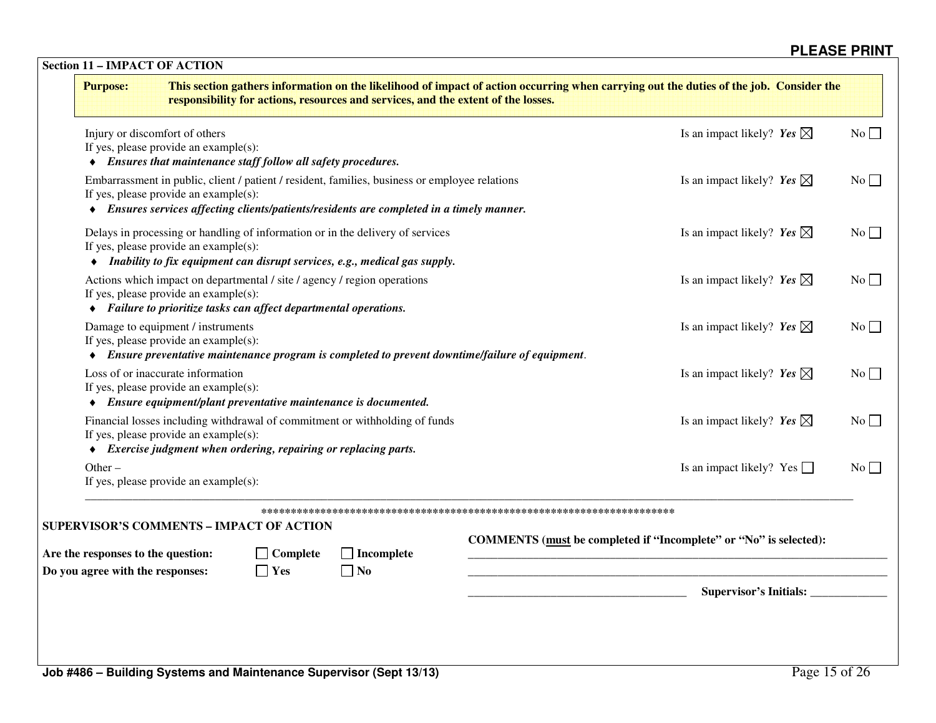| <b>Purpose:</b>                                                                                                                                                                                                                      |                               | responsibility for actions, resources and services, and the extent of the losses. | This section gathers information on the likelihood of impact of action occurring when carrying out the duties of the job. Consider the |           |
|--------------------------------------------------------------------------------------------------------------------------------------------------------------------------------------------------------------------------------------|-------------------------------|-----------------------------------------------------------------------------------|----------------------------------------------------------------------------------------------------------------------------------------|-----------|
| Injury or discomfort of others<br>If yes, please provide an example $(s)$ :<br>• Ensures that maintenance staff follow all safety procedures.                                                                                        |                               |                                                                                   | Is an impact likely? Yes $\boxtimes$                                                                                                   | $No \Box$ |
| Embarrassment in public, client / patient / resident, families, business or employee relations<br>If yes, please provide an example(s):<br>• Ensures services affecting clients/patients/residents are completed in a timely manner. |                               |                                                                                   | Is an impact likely? Yes $\boxtimes$                                                                                                   | No        |
| Delays in processing or handling of information or in the delivery of services<br>If yes, please provide an example(s):<br>• Inability to fix equipment can disrupt services, e.g., medical gas supply.                              |                               |                                                                                   | Is an impact likely? Yes $\boxtimes$                                                                                                   | No        |
| Actions which impact on departmental / site / agency / region operations<br>If yes, please provide an example $(s)$ :<br>• Failure to prioritize tasks can affect departmental operations.                                           |                               |                                                                                   | Is an impact likely? Yes $\boxtimes$                                                                                                   | $No \Box$ |
| Damage to equipment / instruments<br>If yes, please provide an example $(s)$ :<br>• Ensure preventative maintenance program is completed to prevent downtime/failure of equipment.                                                   |                               |                                                                                   | Is an impact likely? Yes $\boxtimes$                                                                                                   | No        |
| Loss of or inaccurate information<br>If yes, please provide an example $(s)$ :<br>• Ensure equipment/plant preventative maintenance is documented.                                                                                   |                               |                                                                                   | Is an impact likely? Yes $\boxtimes$                                                                                                   | No        |
| Financial losses including withdrawal of commitment or withholding of funds<br>If yes, please provide an example(s):<br>• Exercise judgment when ordering, repairing or replacing parts.                                             |                               |                                                                                   | Is an impact likely? Yes $\boxtimes$                                                                                                   | No        |
| $Other -$<br>If yes, please provide an example $(s)$ :                                                                                                                                                                               |                               |                                                                                   | Is an impact likely? Yes $\Box$                                                                                                        | No        |
| <b>SUPERVISOR'S COMMENTS - IMPACT OF ACTION</b>                                                                                                                                                                                      |                               |                                                                                   |                                                                                                                                        |           |
| Are the responses to the question:                                                                                                                                                                                                   | $\Box$ Complete<br>$\Box$ Yes | $\Box$ Incomplete<br>$\Box$ No                                                    | COMMENTS (must be completed if "Incomplete" or "No" is selected):                                                                      |           |
| Do you agree with the responses:                                                                                                                                                                                                     |                               |                                                                                   |                                                                                                                                        |           |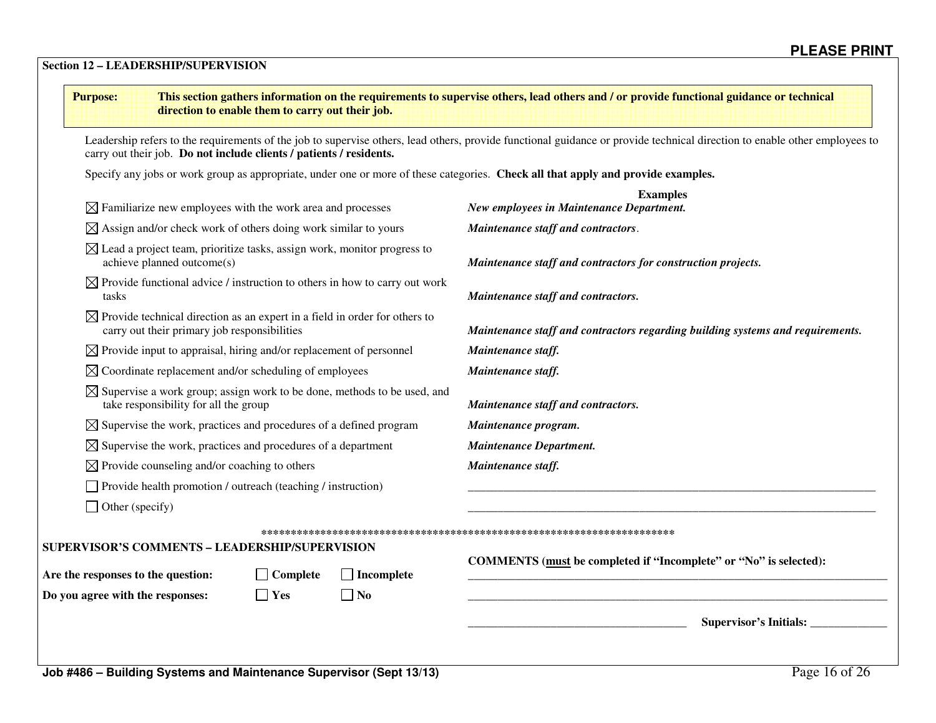### **Section 12 – LEADERSHIP/SUPERVISION**

| <b>Purpose:</b>                                                   | direction to enable them to carry out their job.                                       | This section gathers information on the requirements to supervise others, lead others and / or provide functional guidance or technical                                    |  |  |  |  |
|-------------------------------------------------------------------|----------------------------------------------------------------------------------------|----------------------------------------------------------------------------------------------------------------------------------------------------------------------------|--|--|--|--|
|                                                                   | carry out their job. Do not include clients / patients / residents.                    | Leadership refers to the requirements of the job to supervise others, lead others, provide functional guidance or provide technical direction to enable other employees to |  |  |  |  |
|                                                                   |                                                                                        | Specify any jobs or work group as appropriate, under one or more of these categories. Check all that apply and provide examples.                                           |  |  |  |  |
|                                                                   | $\boxtimes$ Familiarize new employees with the work area and processes                 | <b>Examples</b><br>New employees in Maintenance Department.                                                                                                                |  |  |  |  |
|                                                                   | $\boxtimes$ Assign and/or check work of others doing work similar to yours             | Maintenance staff and contractors.                                                                                                                                         |  |  |  |  |
| achieve planned outcome(s)                                        | $\boxtimes$ Lead a project team, prioritize tasks, assign work, monitor progress to    | Maintenance staff and contractors for construction projects.                                                                                                               |  |  |  |  |
| tasks                                                             | $\boxtimes$ Provide functional advice / instruction to others in how to carry out work | Maintenance staff and contractors.                                                                                                                                         |  |  |  |  |
| carry out their primary job responsibilities                      | $\boxtimes$ Provide technical direction as an expert in a field in order for others to | Maintenance staff and contractors regarding building systems and requirements.                                                                                             |  |  |  |  |
|                                                                   | $\boxtimes$ Provide input to appraisal, hiring and/or replacement of personnel         | Maintenance staff.                                                                                                                                                         |  |  |  |  |
| $\boxtimes$ Coordinate replacement and/or scheduling of employees |                                                                                        | Maintenance staff.                                                                                                                                                         |  |  |  |  |
| take responsibility for all the group                             | $\boxtimes$ Supervise a work group; assign work to be done, methods to be used, and    | Maintenance staff and contractors.                                                                                                                                         |  |  |  |  |
|                                                                   | $\boxtimes$ Supervise the work, practices and procedures of a defined program          | Maintenance program.                                                                                                                                                       |  |  |  |  |
|                                                                   | $\boxtimes$ Supervise the work, practices and procedures of a department               | <b>Maintenance Department.</b>                                                                                                                                             |  |  |  |  |
| $\boxtimes$ Provide counseling and/or coaching to others          |                                                                                        | Maintenance staff.                                                                                                                                                         |  |  |  |  |
| Provide health promotion / outreach (teaching / instruction)      |                                                                                        |                                                                                                                                                                            |  |  |  |  |
| $\Box$ Other (specify)                                            |                                                                                        |                                                                                                                                                                            |  |  |  |  |
| SUPERVISOR'S COMMENTS - LEADERSHIP/SUPERVISION                    |                                                                                        |                                                                                                                                                                            |  |  |  |  |
| Are the responses to the question:                                | $\Box$ Complete<br>$\Box$ Incomplete                                                   | COMMENTS (must be completed if "Incomplete" or "No" is selected):                                                                                                          |  |  |  |  |
| Do you agree with the responses:                                  | $\Box$ Yes<br>$\Box$ No                                                                |                                                                                                                                                                            |  |  |  |  |
|                                                                   |                                                                                        | Supervisor's Initials:                                                                                                                                                     |  |  |  |  |
|                                                                   | Job #486 - Building Systems and Maintenance Supervisor (Sept 13/13)                    | Page 16 of 26                                                                                                                                                              |  |  |  |  |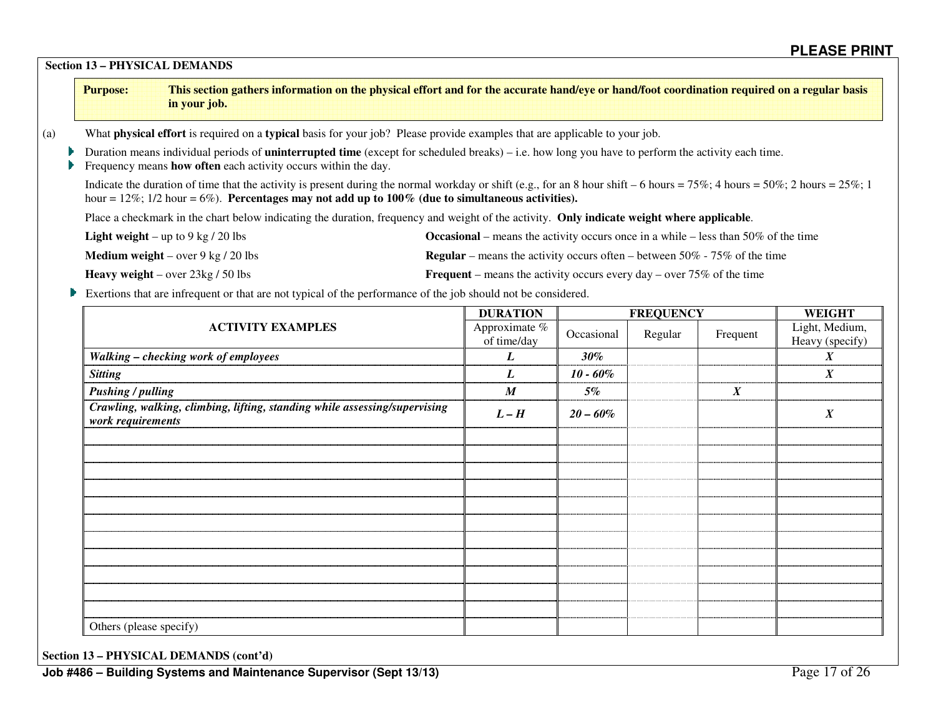**Section 13 – PHYSICAL DEMANDS**

(a) What **physical effort** is required on a **typical** basis for your job? Please provide examples that are applicable to your job. **▶** Duration means individual periods of **uninterrupted time** (except for scheduled breaks) – i.e. how long you have to perform the activity each time. **Frequency means how often** each activity occurs within the day. Indicate the duration of time that the activity is present during the normal workday or shift (e.g., for an 8 hour shift – 6 hours = 75%; 4 hours = 50%; 2 hours = 25%; 1 hour =  $12\%$ ;  $1/2$  hour =  $6\%$ ). **Percentages may not add up to**  $100\%$  **(due to simultaneous activities).**  Place a checkmark in the chart below indicating the duration, frequency and weight of the activity. **Only indicate weight where applicable**. **Light weight** – up to 9 kg / 20 lbs **Occasional** – means the activity occurs once in a while – less than 50% of the time **Medium weight** – over 9 kg / 20 lbs **Regular** – **Regular** – means the activity occurs often – between 50% - 75% of the time **Heavy weight** – over 23kg / 50 lbs **Frequent** – means the activity occurs every day – over 75% of the time Exertions that are infrequent or that are not typical of the performance of the job should not be considered. **ACTIVITY EXAMPLES DURATION FREQUENCY WEIGHT** Light, Medium, Approximate % of time/day $\begin{array}{c|c}\n\text{E} \% \\
\hline\n\text{V}\n\end{array}$  Occasional Regular Frequent Heavy (specify) *Walking – checking work of employees L 30% X Sitting L 10 - 60% X Pushing / pulling X 3% X 35% X 35% X 35% X 35% X 35% X 35% X 35% X 35% X 35% X 35% X 35% X 35% X 35% X 35% X 35% X 35% X 35% X 35% X 35% X 35% X 35% X 35% X 35% X 35% X 35% X 35% X 35% X 35% X 35% X 35% X 35% X 35% X 35% Crawling, walking, climbing, lifting, standing while assessing/supervising L* – H  $\left[20-60\% \right]$   $\left[20-60\% \right]$   $\left[20-60\% \right]$   $\left[20-60\% \right]$   $\left[20-60\% \right]$   $\left[20-60\% \right]$   $\left[20-60\% \right]$   $\left[20-60\% \right]$   $\left[20-60\% \right]$   $\left[20-60\% \right]$   $\left[20-60\% \right]$   $\left[20-60\% \right]$   $\left[20-60\% \right]$   $\left[2$ **Purpose: This section gathers information on the physical effort and for the accurate hand/eye or hand/foot coordination required on a regular basis in your job.** 

**Section 13 – PHYSICAL DEMANDS (cont'd)** 

Others (please specify)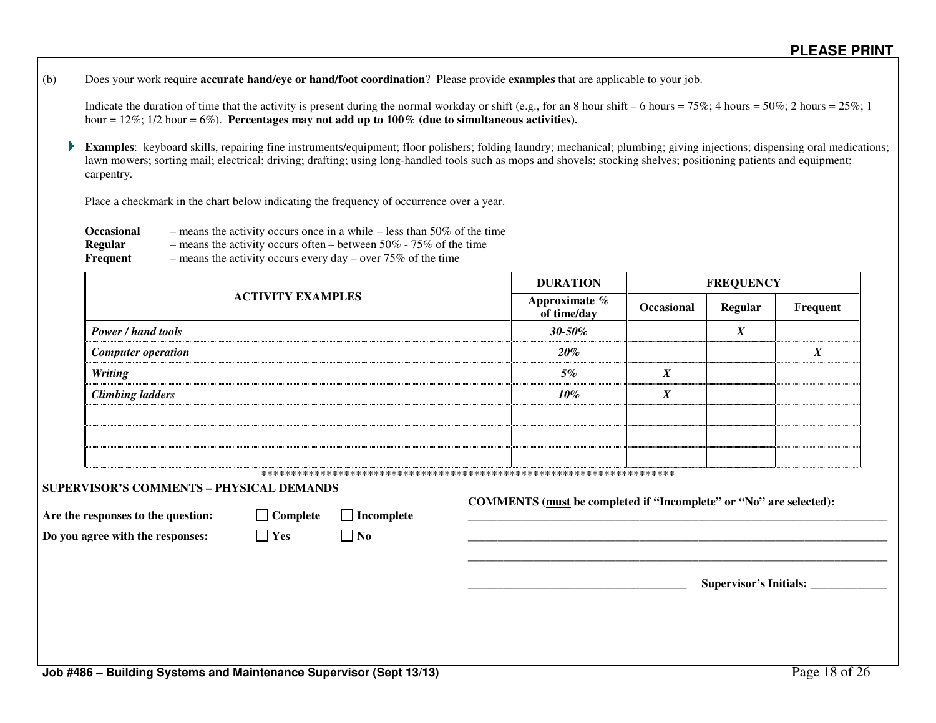(b) Does your work require **accurate hand/eye or hand/foot coordination**? Please provide **examples** that are applicable to your job.

Indicate the duration of time that the activity is present during the normal workday or shift (e.g., for an 8 hour shift – 6 hours = 75%; 4 hours = 50%; 2 hours = 25%; 1 hour = 12%; 1/2 hour = 6%). **Percentages may not add up to 100% (due to simultaneous activities).** 

Þ. **Examples**: keyboard skills, repairing fine instruments/equipment; floor polishers; folding laundry; mechanical; plumbing; giving injections; dispensing oral medications; lawn mowers; sorting mail; electrical; driving; drafting; using long-handled tools such as mops and shovels; stocking shelves; positioning patients and equipment; carpentry.

Place a checkmark in the chart below indicating the frequency of occurrence over a year.

**Occasional** – means the activity occurs once in a while – less than 50% of the time

- **Regular** means the activity occurs often between 50% 75% of the time
- **Frequent** means the activity occurs every day over 75% of the time

|                                                                                                                           |                               |                                | <b>DURATION</b>                                                    | <b>FREQUENCY</b> |                  |                        |  |
|---------------------------------------------------------------------------------------------------------------------------|-------------------------------|--------------------------------|--------------------------------------------------------------------|------------------|------------------|------------------------|--|
|                                                                                                                           | <b>ACTIVITY EXAMPLES</b>      |                                | Approximate %<br>of time/day                                       | Occasional       | <b>Regular</b>   | Frequent               |  |
| <b>Power / hand tools</b>                                                                                                 |                               |                                | $30 - 50\%$                                                        |                  | $\boldsymbol{X}$ |                        |  |
| <b>Computer operation</b>                                                                                                 |                               |                                | $20\%$                                                             |                  |                  | $\boldsymbol{X}$       |  |
| <b>Writing</b>                                                                                                            |                               |                                | 5%                                                                 | $\boldsymbol{X}$ |                  |                        |  |
| <b>Climbing ladders</b>                                                                                                   |                               |                                | $10\%$                                                             | X                |                  |                        |  |
|                                                                                                                           |                               |                                |                                                                    |                  |                  |                        |  |
|                                                                                                                           |                               |                                |                                                                    |                  |                  |                        |  |
|                                                                                                                           |                               |                                |                                                                    |                  |                  |                        |  |
| <b>SUPERVISOR'S COMMENTS - PHYSICAL DEMANDS</b><br>Are the responses to the question:<br>Do you agree with the responses: | $\Box$ Complete<br>$\Box$ Yes | $\Box$ Incomplete<br>$\Box$ No | COMMENTS (must be completed if "Incomplete" or "No" are selected): |                  |                  |                        |  |
|                                                                                                                           |                               |                                |                                                                    |                  |                  | Supervisor's Initials: |  |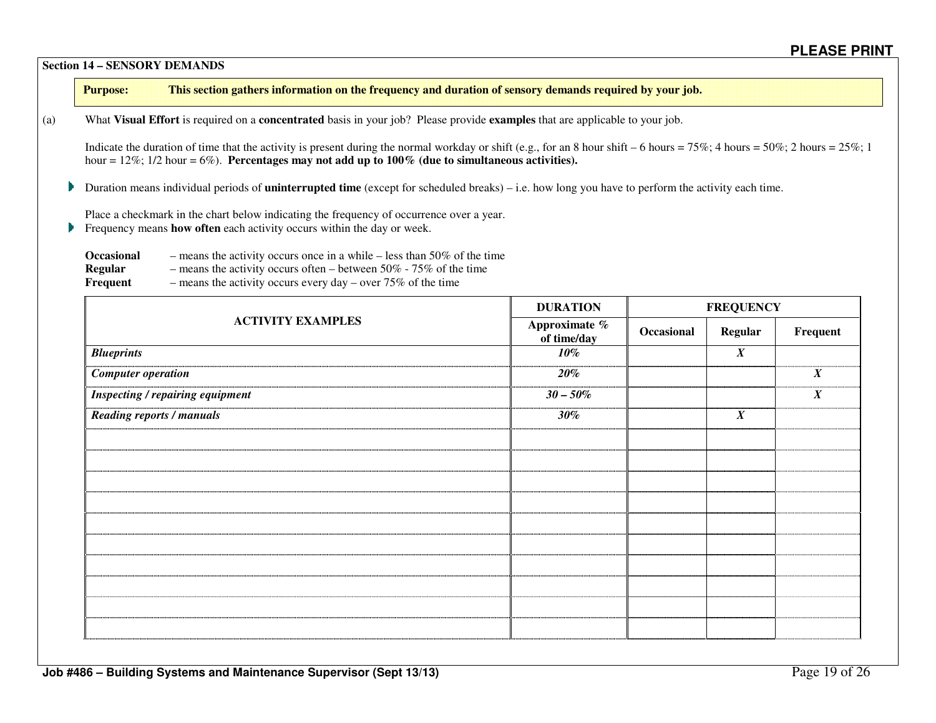**Section 14 – SENSORY DEMANDS** 

**Purpose: This section gathers information on the frequency and duration of sensory demands required by your job.** 

(a) What **Visual Effort** is required on a **concentrated** basis in your job? Please provide **examples** that are applicable to your job.

Indicate the duration of time that the activity is present during the normal workday or shift (e.g., for an 8 hour shift – 6 hours = 75%; 4 hours = 50%; 2 hours = 25%; 1 hour  $= 12\%$ ; 1/2 hour  $= 6\%$ ). **Percentages may not add up to 100% (due to simultaneous activities).** 

Duration means individual periods of **uninterrupted time** (except for scheduled breaks) – i.e. how long you have to perform the activity each time.

Place a checkmark in the chart below indicating the frequency of occurrence over a year.

**Frequency means how often** each activity occurs within the day or week.

| <b>Occasional</b> | - means the activity occurs once in a while $-$ less than 50% of the time |
|-------------------|---------------------------------------------------------------------------|
| Regular           | - means the activity occurs often – between $50\%$ - $75\%$ of the time   |
| Frequent          | - means the activity occurs every day - over $75\%$ of the time           |

|                                         | <b>DURATION</b>              | <b>FREQUENCY</b> |                  |                  |  |
|-----------------------------------------|------------------------------|------------------|------------------|------------------|--|
| <b>ACTIVITY EXAMPLES</b>                | Approximate %<br>of time/day | Occasional       | <b>Regular</b>   | Frequent         |  |
| <b>Blueprints</b>                       | $10\%$                       |                  | $\boldsymbol{X}$ |                  |  |
| <b>Computer operation</b>               | 20%                          |                  |                  | $\boldsymbol{X}$ |  |
| <b>Inspecting / repairing equipment</b> | $30 - 50\%$                  |                  |                  | $\boldsymbol{X}$ |  |
| <b>Reading reports / manuals</b>        | $30\%$                       |                  | $\boldsymbol{X}$ |                  |  |
|                                         |                              |                  |                  |                  |  |
|                                         |                              |                  |                  |                  |  |
|                                         |                              |                  |                  |                  |  |
|                                         |                              |                  |                  |                  |  |
|                                         |                              |                  |                  |                  |  |
|                                         |                              |                  |                  |                  |  |
|                                         |                              |                  |                  |                  |  |
|                                         |                              |                  |                  |                  |  |
|                                         |                              |                  |                  |                  |  |
|                                         |                              |                  |                  |                  |  |
|                                         |                              |                  |                  |                  |  |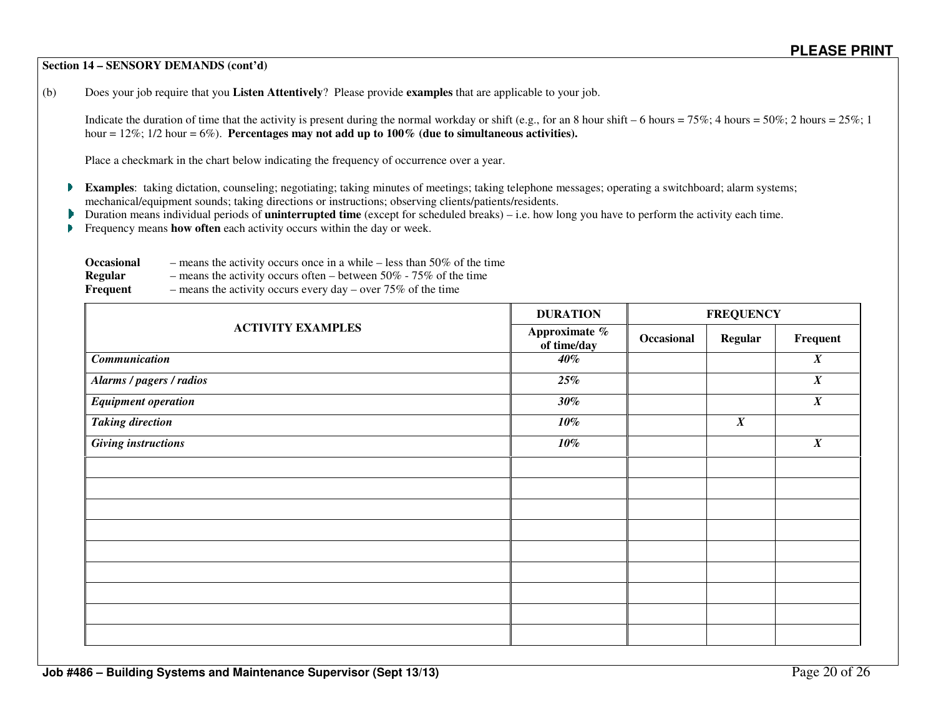#### **Section 14 – SENSORY DEMANDS (cont'd)**

(b) Does your job require that you **Listen Attentively**? Please provide **examples** that are applicable to your job.

Indicate the duration of time that the activity is present during the normal workday or shift (e.g., for an 8 hour shift – 6 hours = 75%; 4 hours = 50%; 2 hours = 25%; 1 hour = 12%; 1/2 hour = 6%). **Percentages may not add up to 100% (due to simultaneous activities).** 

Place a checkmark in the chart below indicating the frequency of occurrence over a year.

- **Examples**: taking dictation, counseling; negotiating; taking minutes of meetings; taking telephone messages; operating a switchboard; alarm systems; mechanical/equipment sounds; taking directions or instructions; observing clients/patients/residents.
- Duration means individual periods of **uninterrupted time** (except for scheduled breaks) i.e. how long you have to perform the activity each time.
- Frequency means **how often** each activity occurs within the day or week. Þ

| <b>Occasional</b> | - means the activity occurs once in a while $-$ less than 50% of the time |
|-------------------|---------------------------------------------------------------------------|
| Regular           | - means the activity occurs often – between $50\%$ - $75\%$ of the time   |
| Frequent          | - means the activity occurs every day - over $75\%$ of the time           |

|                            | <b>DURATION</b>              | <b>FREQUENCY</b> |                  |                  |  |
|----------------------------|------------------------------|------------------|------------------|------------------|--|
| <b>ACTIVITY EXAMPLES</b>   | Approximate %<br>of time/day | Occasional       | Regular          | Frequent         |  |
| Communication              | $40\%$                       |                  |                  | $\boldsymbol{X}$ |  |
| Alarms / pagers / radios   | 25%                          |                  |                  | $\pmb{X}$        |  |
| <b>Equipment operation</b> | $30\%$                       |                  |                  | $\boldsymbol{X}$ |  |
| <b>Taking direction</b>    | $10\%$                       |                  | $\boldsymbol{X}$ |                  |  |
| <b>Giving instructions</b> | $10\%$                       |                  |                  | $\boldsymbol{X}$ |  |
|                            |                              |                  |                  |                  |  |
|                            |                              |                  |                  |                  |  |
|                            |                              |                  |                  |                  |  |
|                            |                              |                  |                  |                  |  |
|                            |                              |                  |                  |                  |  |
|                            |                              |                  |                  |                  |  |
|                            |                              |                  |                  |                  |  |
|                            |                              |                  |                  |                  |  |
|                            |                              |                  |                  |                  |  |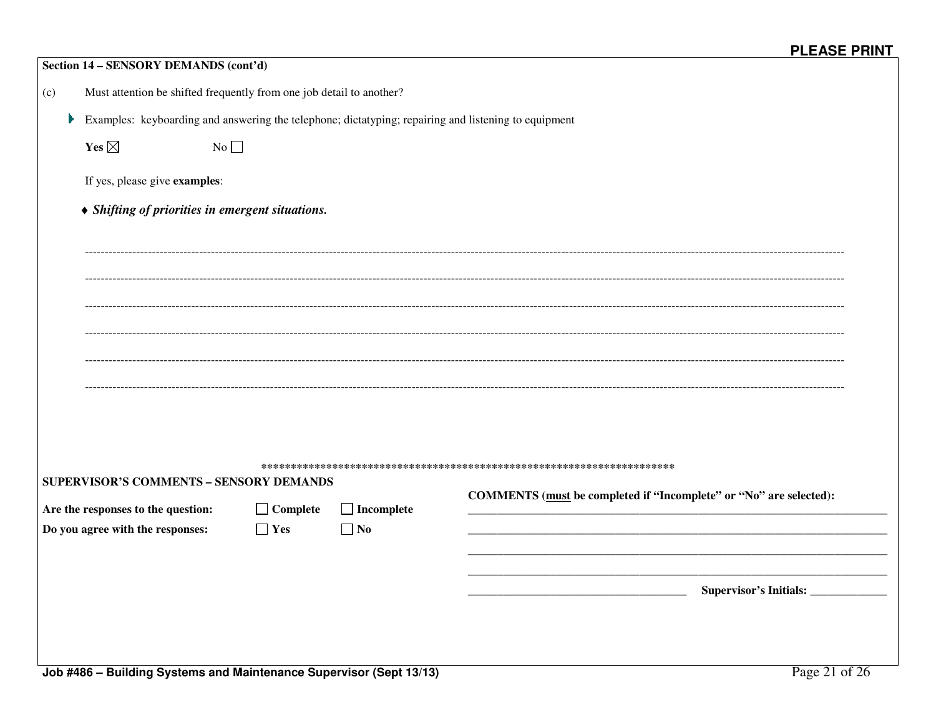| Section 14 - SENSORY DEMANDS (cont'd)                                                                |                               |                                |                                                                    |  |  |  |  |  |
|------------------------------------------------------------------------------------------------------|-------------------------------|--------------------------------|--------------------------------------------------------------------|--|--|--|--|--|
| Must attention be shifted frequently from one job detail to another?<br>(c)                          |                               |                                |                                                                    |  |  |  |  |  |
| Examples: keyboarding and answering the telephone; dictatyping; repairing and listening to equipment |                               |                                |                                                                    |  |  |  |  |  |
| Yes $\boxtimes$<br>No                                                                                |                               |                                |                                                                    |  |  |  |  |  |
| If yes, please give examples:                                                                        |                               |                                |                                                                    |  |  |  |  |  |
| • Shifting of priorities in emergent situations.                                                     |                               |                                |                                                                    |  |  |  |  |  |
|                                                                                                      |                               |                                |                                                                    |  |  |  |  |  |
|                                                                                                      |                               |                                |                                                                    |  |  |  |  |  |
|                                                                                                      |                               |                                |                                                                    |  |  |  |  |  |
|                                                                                                      |                               |                                |                                                                    |  |  |  |  |  |
|                                                                                                      |                               |                                |                                                                    |  |  |  |  |  |
|                                                                                                      |                               |                                |                                                                    |  |  |  |  |  |
|                                                                                                      |                               |                                |                                                                    |  |  |  |  |  |
|                                                                                                      |                               |                                |                                                                    |  |  |  |  |  |
|                                                                                                      |                               |                                |                                                                    |  |  |  |  |  |
| <b>SUPERVISOR'S COMMENTS - SENSORY DEMANDS</b>                                                       |                               |                                | COMMENTS (must be completed if "Incomplete" or "No" are selected): |  |  |  |  |  |
| Are the responses to the question:<br>Do you agree with the responses:                               | $\Box$ Complete<br>$\Box$ Yes | $\Box$ Incomplete<br>$\Box$ No |                                                                    |  |  |  |  |  |
|                                                                                                      |                               |                                |                                                                    |  |  |  |  |  |
|                                                                                                      |                               |                                |                                                                    |  |  |  |  |  |
|                                                                                                      |                               |                                | Supervisor's Initials: ____________                                |  |  |  |  |  |
|                                                                                                      |                               |                                |                                                                    |  |  |  |  |  |
| Page 21 of 26<br>Joh #486 - Ruilding Systems and Maintenance Supervisor (Sent 13/13)                 |                               |                                |                                                                    |  |  |  |  |  |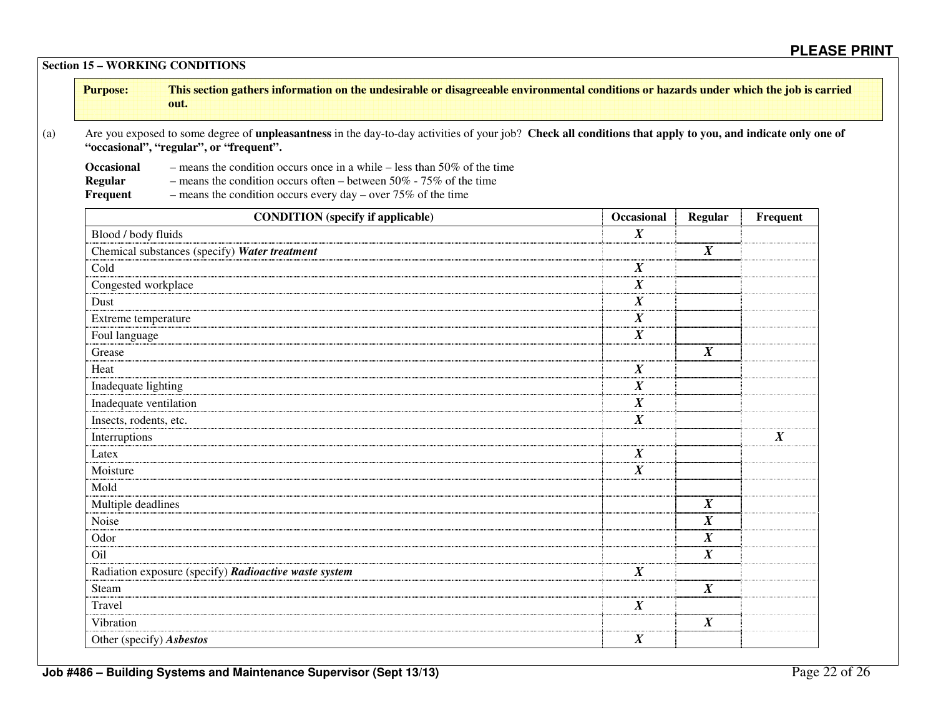**Section 15 – WORKING CONDITIONS** 

| <b>Purpose:</b> | This section gathers information on the undesirable or disagreeable environmental conditions or hazards under which the job is carried |
|-----------------|----------------------------------------------------------------------------------------------------------------------------------------|
|                 | out.                                                                                                                                   |
|                 |                                                                                                                                        |

(a) Are you exposed to some degree of **unpleasantness** in the day-to-day activities of your job? **Check all conditions that apply to you, and indicate only one of "occasional", "regular", or "frequent".** 

**Occasional** – means the condition occurs once in a while – less than 50% of the time

**Regular** – means the condition occurs often – between 50% - 75% of the time<br>**Frequent** – means the condition occurs every day – over 75% of the time

– means the condition occurs every day – over  $75\%$  of the time

| <b>CONDITION</b> (specify if applicable)              | Occasional       | <b>Regular</b>      | Frequent         |
|-------------------------------------------------------|------------------|---------------------|------------------|
| Blood / body fluids                                   | $\boldsymbol{X}$ |                     |                  |
| Chemical substances (specify) Water treatment         |                  | $\pmb{X}$           |                  |
| Cold                                                  | $\boldsymbol{X}$ |                     |                  |
| Congested workplace                                   | X                |                     |                  |
| Dust                                                  | $\boldsymbol{X}$ |                     |                  |
| Extreme temperature                                   | $\boldsymbol{X}$ |                     |                  |
| Foul language                                         | $\boldsymbol{X}$ |                     |                  |
| Grease                                                |                  | $\boldsymbol{X}$    |                  |
| Heat                                                  | $\boldsymbol{X}$ |                     |                  |
| Inadequate lighting                                   | $\boldsymbol{X}$ |                     |                  |
| Inadequate ventilation                                | $\boldsymbol{X}$ |                     |                  |
| Insects, rodents, etc.                                | $\boldsymbol{X}$ |                     |                  |
| Interruptions                                         |                  |                     | $\boldsymbol{X}$ |
| Latex                                                 | $\boldsymbol{X}$ |                     |                  |
| Moisture                                              | $\boldsymbol{X}$ |                     |                  |
| Mold                                                  |                  |                     |                  |
| Multiple deadlines                                    |                  | $\boldsymbol{X}$    |                  |
| Noise                                                 |                  | $\boldsymbol{X}$    |                  |
| Odor                                                  |                  | $\boldsymbol{X}$    |                  |
| Oil                                                   |                  | $\overline{X}$      |                  |
| Radiation exposure (specify) Radioactive waste system | $\boldsymbol{X}$ |                     |                  |
| Steam                                                 |                  | $\overline{\bm{X}}$ |                  |
| Travel                                                | X                |                     |                  |
| Vibration                                             |                  | $\boldsymbol{X}$    |                  |
| Other (specify) Asbestos                              | $\boldsymbol{X}$ |                     |                  |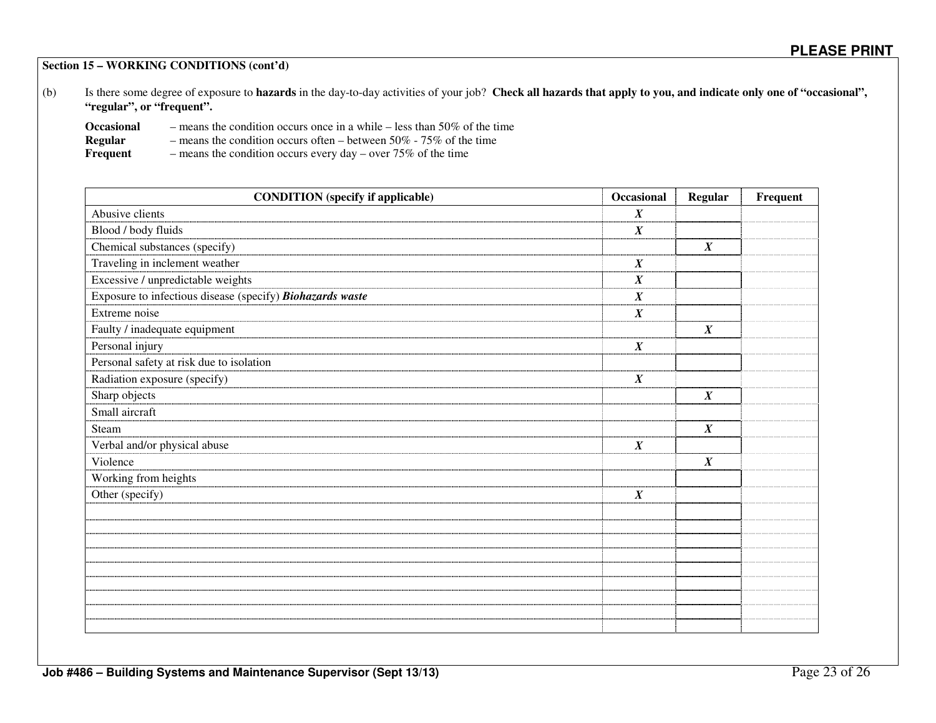**Section 15 – WORKING CONDITIONS (cont'd)** 

(b) Is there some degree of exposure to **hazards** in the day-to-day activities of your job? **Check all hazards that apply to you, and indicate only one of "occasional", "regular", or "frequent".** 

| <b>Occasional</b> | - means the condition occurs once in a while $-$ less than 50% of the time |
|-------------------|----------------------------------------------------------------------------|
| Regular           | - means the condition occurs often – between $50\%$ - $75\%$ of the time   |
| Frequent          | - means the condition occurs every day – over $75\%$ of the time           |

| <b>CONDITION</b> (specify if applicable)                  | Occasional       | <b>Regular</b>   | Frequent |
|-----------------------------------------------------------|------------------|------------------|----------|
| Abusive clients                                           | $\boldsymbol{X}$ |                  |          |
| Blood / body fluids                                       | $\boldsymbol{X}$ |                  |          |
| Chemical substances (specify)                             |                  | $\boldsymbol{X}$ |          |
| Traveling in inclement weather                            | $\boldsymbol{X}$ |                  |          |
| Excessive / unpredictable weights                         | $\boldsymbol{X}$ |                  |          |
| Exposure to infectious disease (specify) Biohazards waste | $\boldsymbol{X}$ |                  |          |
| Extreme noise                                             | $\boldsymbol{X}$ |                  |          |
| Faulty / inadequate equipment                             |                  | $\boldsymbol{X}$ |          |
| Personal injury                                           | $\boldsymbol{X}$ |                  |          |
| Personal safety at risk due to isolation                  |                  |                  |          |
| Radiation exposure (specify)                              | $\boldsymbol{X}$ |                  |          |
| Sharp objects                                             |                  | $\boldsymbol{X}$ |          |
| Small aircraft                                            |                  |                  |          |
| Steam                                                     |                  | $\boldsymbol{X}$ |          |
| Verbal and/or physical abuse                              | $\boldsymbol{X}$ |                  |          |
| Violence                                                  |                  | $\boldsymbol{X}$ |          |
| Working from heights                                      |                  |                  |          |
| Other (specify)                                           | $\boldsymbol{X}$ |                  |          |
|                                                           |                  |                  |          |
|                                                           |                  |                  |          |
|                                                           |                  |                  |          |
|                                                           |                  |                  |          |
|                                                           |                  |                  |          |
|                                                           |                  |                  |          |
|                                                           |                  |                  |          |
|                                                           |                  |                  |          |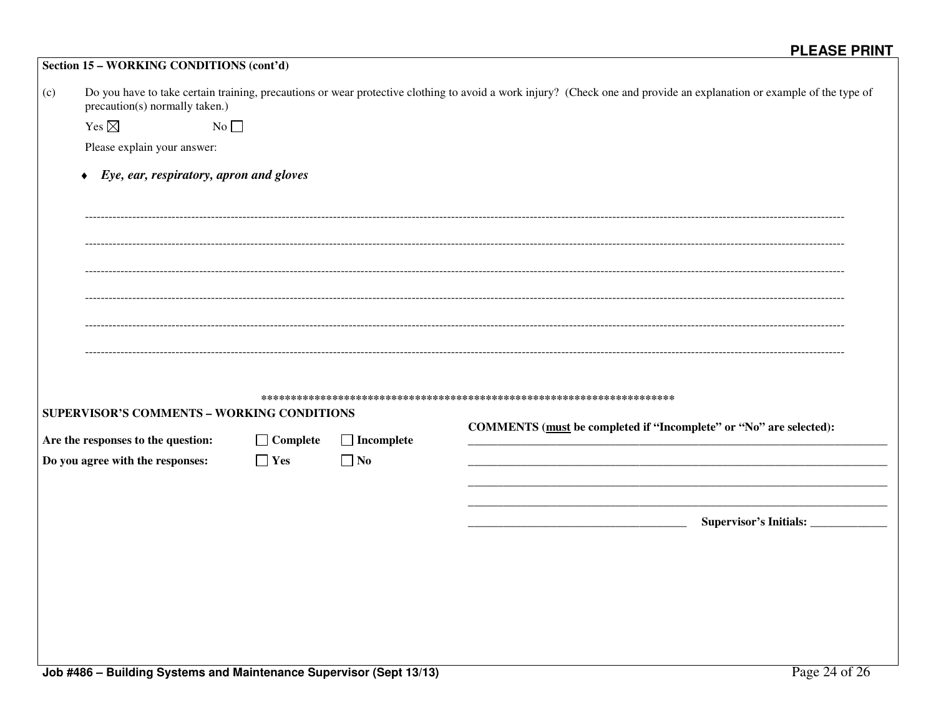|     | Section 15 - WORKING CONDITIONS (cont'd)                                         |                 |                   |                                                                                                                                                                       |
|-----|----------------------------------------------------------------------------------|-----------------|-------------------|-----------------------------------------------------------------------------------------------------------------------------------------------------------------------|
| (c) | precaution(s) normally taken.)                                                   |                 |                   | Do you have to take certain training, precautions or wear protective clothing to avoid a work injury? (Check one and provide an explanation or example of the type of |
|     | Yes $\boxtimes$<br>No                                                            |                 |                   |                                                                                                                                                                       |
|     | Please explain your answer:                                                      |                 |                   |                                                                                                                                                                       |
|     | Eye, ear, respiratory, apron and gloves<br>$\blacklozenge$                       |                 |                   |                                                                                                                                                                       |
|     |                                                                                  |                 |                   |                                                                                                                                                                       |
|     |                                                                                  |                 |                   |                                                                                                                                                                       |
|     |                                                                                  |                 |                   |                                                                                                                                                                       |
|     |                                                                                  |                 |                   |                                                                                                                                                                       |
|     |                                                                                  |                 |                   |                                                                                                                                                                       |
|     |                                                                                  |                 |                   |                                                                                                                                                                       |
|     |                                                                                  |                 |                   |                                                                                                                                                                       |
|     |                                                                                  |                 |                   |                                                                                                                                                                       |
|     | SUPERVISOR'S COMMENTS - WORKING CONDITIONS<br>Are the responses to the question: | $\Box$ Complete | $\Box$ Incomplete | COMMENTS (must be completed if "Incomplete" or "No" are selected):                                                                                                    |
|     | Do you agree with the responses:                                                 | $\Box$ Yes      | $\Box$ No         |                                                                                                                                                                       |
|     |                                                                                  |                 |                   |                                                                                                                                                                       |
|     |                                                                                  |                 |                   |                                                                                                                                                                       |
|     |                                                                                  |                 |                   | Supervisor's Initials: _______________                                                                                                                                |
|     |                                                                                  |                 |                   |                                                                                                                                                                       |
|     |                                                                                  |                 |                   |                                                                                                                                                                       |
|     |                                                                                  |                 |                   |                                                                                                                                                                       |
|     |                                                                                  |                 |                   |                                                                                                                                                                       |
|     |                                                                                  |                 |                   |                                                                                                                                                                       |
|     |                                                                                  |                 |                   |                                                                                                                                                                       |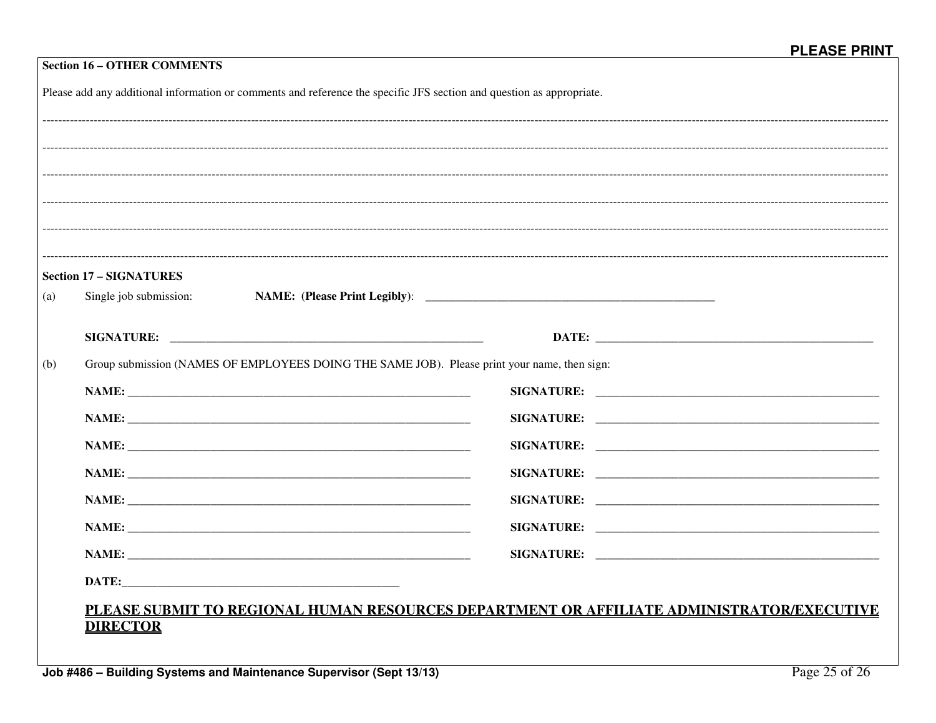|     | Please add any additional information or comments and reference the specific JFS section and question as appropriate. |  |
|-----|-----------------------------------------------------------------------------------------------------------------------|--|
|     |                                                                                                                       |  |
|     |                                                                                                                       |  |
|     |                                                                                                                       |  |
|     |                                                                                                                       |  |
|     |                                                                                                                       |  |
|     |                                                                                                                       |  |
|     | <b>Section 17 - SIGNATURES</b>                                                                                        |  |
| (a) | Single job submission:                                                                                                |  |
|     |                                                                                                                       |  |
|     |                                                                                                                       |  |
|     | Group submission (NAMES OF EMPLOYEES DOING THE SAME JOB). Please print your name, then sign:                          |  |
|     |                                                                                                                       |  |
| (b) |                                                                                                                       |  |
|     |                                                                                                                       |  |
|     |                                                                                                                       |  |
|     |                                                                                                                       |  |
|     |                                                                                                                       |  |
|     |                                                                                                                       |  |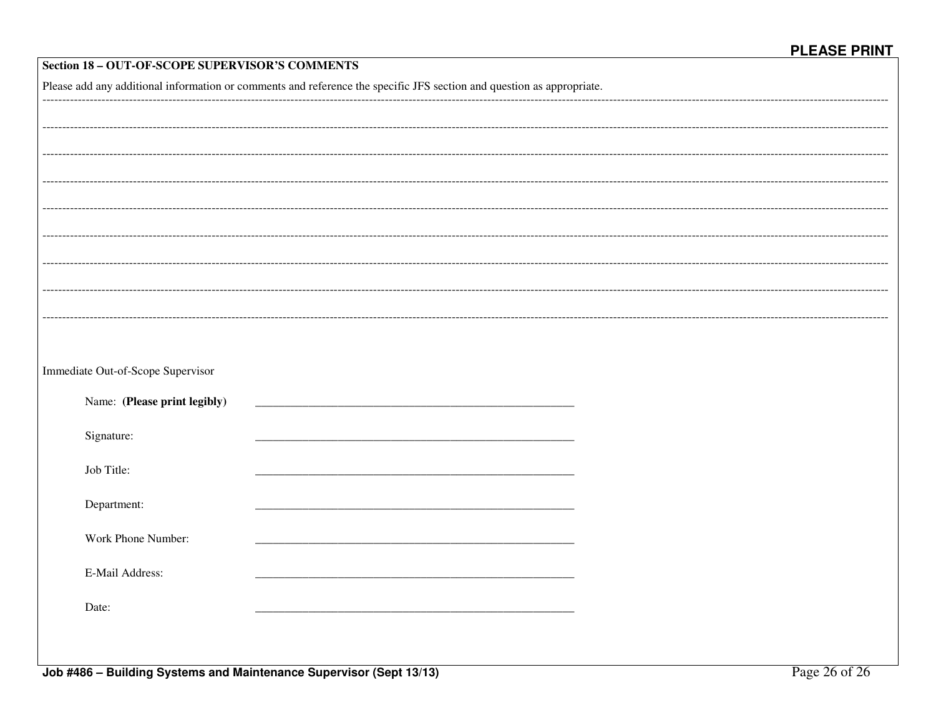| Section 18 - OUT-OF-SCOPE SUPERVISOR'S COMMENTS |                                                                                                                       |  |  |  |
|-------------------------------------------------|-----------------------------------------------------------------------------------------------------------------------|--|--|--|
|                                                 | Please add any additional information or comments and reference the specific JFS section and question as appropriate. |  |  |  |
|                                                 |                                                                                                                       |  |  |  |
|                                                 |                                                                                                                       |  |  |  |
|                                                 |                                                                                                                       |  |  |  |
|                                                 |                                                                                                                       |  |  |  |
|                                                 |                                                                                                                       |  |  |  |
|                                                 |                                                                                                                       |  |  |  |
|                                                 |                                                                                                                       |  |  |  |
|                                                 |                                                                                                                       |  |  |  |
|                                                 |                                                                                                                       |  |  |  |
|                                                 |                                                                                                                       |  |  |  |
|                                                 |                                                                                                                       |  |  |  |
| Immediate Out-of-Scope Supervisor               |                                                                                                                       |  |  |  |
| Name: (Please print legibly)                    |                                                                                                                       |  |  |  |
| Signature:                                      |                                                                                                                       |  |  |  |
| Job Title:                                      |                                                                                                                       |  |  |  |
|                                                 |                                                                                                                       |  |  |  |
| Department:                                     |                                                                                                                       |  |  |  |
| Work Phone Number:                              |                                                                                                                       |  |  |  |
|                                                 |                                                                                                                       |  |  |  |
| E-Mail Address:                                 |                                                                                                                       |  |  |  |
| Date:                                           |                                                                                                                       |  |  |  |
|                                                 |                                                                                                                       |  |  |  |
|                                                 |                                                                                                                       |  |  |  |